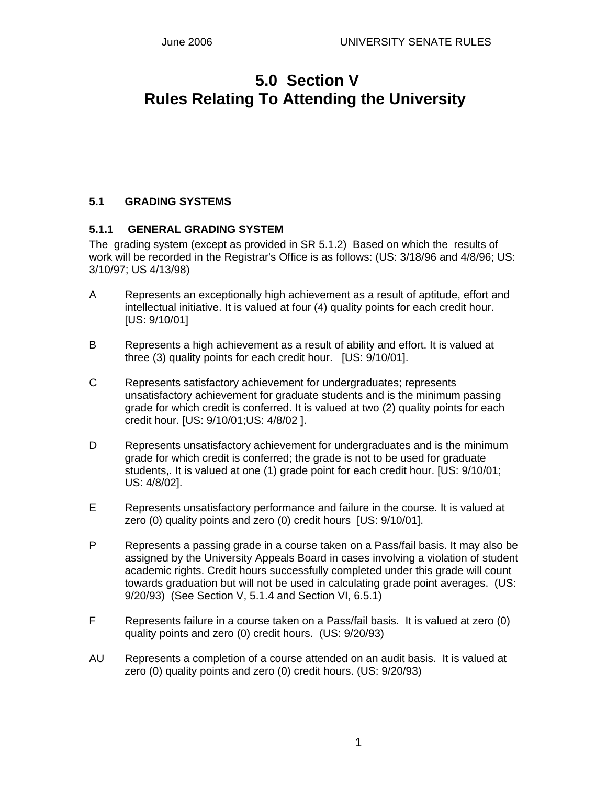# **5.0 Section V Rules Relating To Attending the University**

## **5.1 GRADING SYSTEMS**

### **5.1.1 GENERAL GRADING SYSTEM**

The grading system (except as provided in SR 5.1.2) Based on which the results of work will be recorded in the Registrar's Office is as follows: (US: 3/18/96 and 4/8/96; US: 3/10/97; US 4/13/98)

- A Represents an exceptionally high achievement as a result of aptitude, effort and intellectual initiative. It is valued at four (4) quality points for each credit hour. [US: 9/10/01]
- B Represents a high achievement as a result of ability and effort. It is valued at three (3) quality points for each credit hour. [US: 9/10/01].
- C Represents satisfactory achievement for undergraduates; represents unsatisfactory achievement for graduate students and is the minimum passing grade for which credit is conferred. It is valued at two (2) quality points for each credit hour. [US: 9/10/01;US: 4/8/02 ].
- D Represents unsatisfactory achievement for undergraduates and is the minimum grade for which credit is conferred; the grade is not to be used for graduate students.. It is valued at one (1) grade point for each credit hour. [US: 9/10/01: US: 4/8/02].
- E Represents unsatisfactory performance and failure in the course. It is valued at zero (0) quality points and zero (0) credit hours [US: 9/10/01].
- P Represents a passing grade in a course taken on a Pass/fail basis. It may also be assigned by the University Appeals Board in cases involving a violation of student academic rights. Credit hours successfully completed under this grade will count towards graduation but will not be used in calculating grade point averages. (US: 9/20/93) (See Section V, 5.1.4 and Section VI, 6.5.1)
- F Represents failure in a course taken on a Pass/fail basis. It is valued at zero (0) quality points and zero (0) credit hours. (US: 9/20/93)
- AU Represents a completion of a course attended on an audit basis. It is valued at zero (0) quality points and zero (0) credit hours. (US: 9/20/93)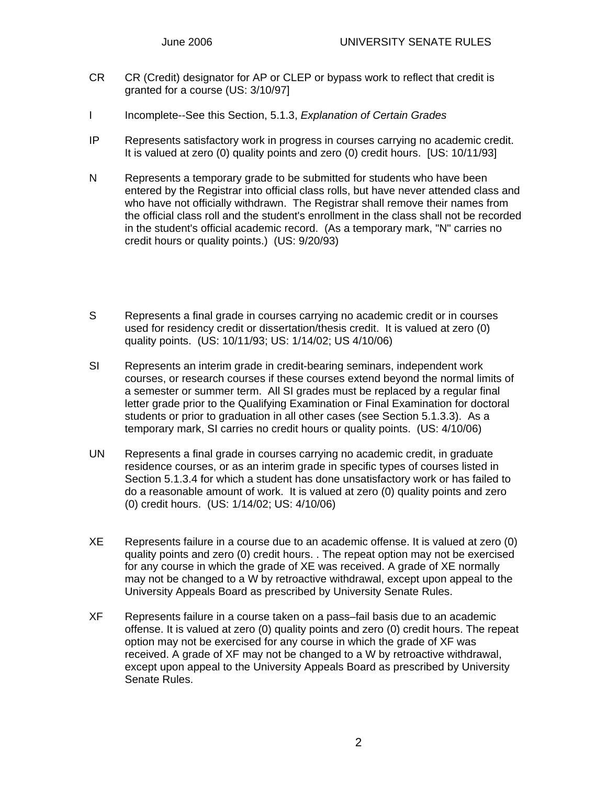- CR CR (Credit) designator for AP or CLEP or bypass work to reflect that credit is granted for a course (US: 3/10/97]
- I Incomplete--See this Section, 5.1.3, *Explanation of Certain Grades*
- IP Represents satisfactory work in progress in courses carrying no academic credit. It is valued at zero (0) quality points and zero (0) credit hours. [US: 10/11/93]
- N Represents a temporary grade to be submitted for students who have been entered by the Registrar into official class rolls, but have never attended class and who have not officially withdrawn. The Registrar shall remove their names from the official class roll and the student's enrollment in the class shall not be recorded in the student's official academic record. (As a temporary mark, "N" carries no credit hours or quality points.) (US: 9/20/93)
- S Represents a final grade in courses carrying no academic credit or in courses used for residency credit or dissertation/thesis credit. It is valued at zero (0) quality points. (US: 10/11/93; US: 1/14/02; US 4/10/06)
- SI Represents an interim grade in credit-bearing seminars, independent work courses, or research courses if these courses extend beyond the normal limits of a semester or summer term. All SI grades must be replaced by a regular final letter grade prior to the Qualifying Examination or Final Examination for doctoral students or prior to graduation in all other cases (see Section 5.1.3.3). As a temporary mark, SI carries no credit hours or quality points. (US: 4/10/06)
- UN Represents a final grade in courses carrying no academic credit, in graduate residence courses, or as an interim grade in specific types of courses listed in Section 5.1.3.4 for which a student has done unsatisfactory work or has failed to do a reasonable amount of work. It is valued at zero (0) quality points and zero (0) credit hours. (US: 1/14/02; US: 4/10/06)
- XE Represents failure in a course due to an academic offense. It is valued at zero (0) quality points and zero (0) credit hours. . The repeat option may not be exercised for any course in which the grade of XE was received. A grade of XE normally may not be changed to a W by retroactive withdrawal, except upon appeal to the University Appeals Board as prescribed by University Senate Rules.
- XF Represents failure in a course taken on a pass–fail basis due to an academic offense. It is valued at zero (0) quality points and zero (0) credit hours. The repeat option may not be exercised for any course in which the grade of XF was received. A grade of XF may not be changed to a W by retroactive withdrawal, except upon appeal to the University Appeals Board as prescribed by University Senate Rules.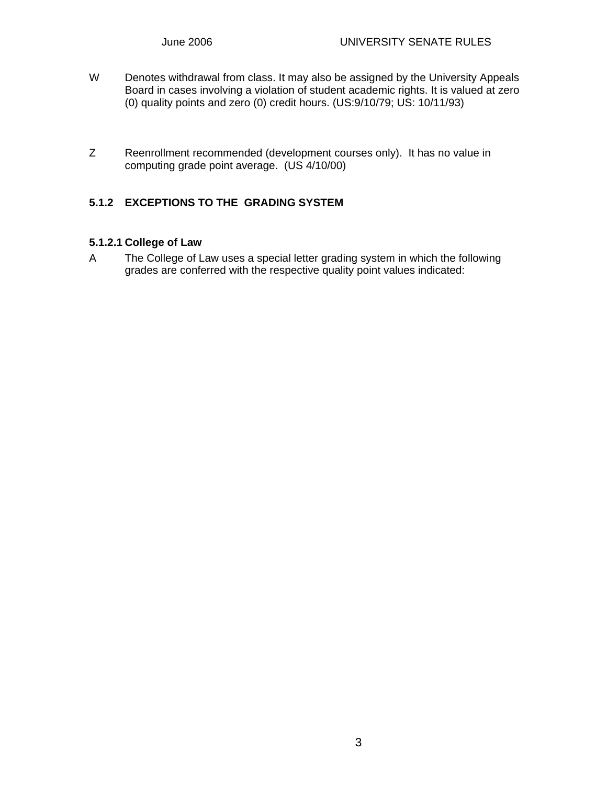- W Denotes withdrawal from class. It may also be assigned by the University Appeals Board in cases involving a violation of student academic rights. It is valued at zero (0) quality points and zero (0) credit hours. (US:9/10/79; US: 10/11/93)
- Z Reenrollment recommended (development courses only). It has no value in computing grade point average. (US 4/10/00)

### **5.1.2 EXCEPTIONS TO THE GRADING SYSTEM**

## **5.1.2.1 College of Law**

A The College of Law uses a special letter grading system in which the following grades are conferred with the respective quality point values indicated: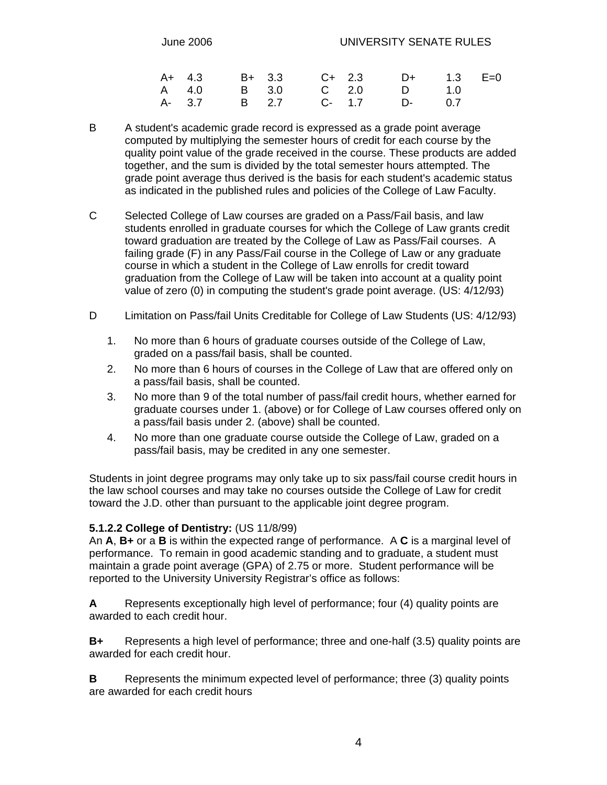|  |  | A+ 4.3 B+ 3.3 C+ 2.3 D+ 1.3 E=0 |  |  |  |
|--|--|---------------------------------|--|--|--|
|  |  | A 4.0 B 3.0 C 2.0 D 1.0         |  |  |  |
|  |  | A- 3.7 B 2.7 C- 1.7 D- 0.7      |  |  |  |

- B A student's academic grade record is expressed as a grade point average computed by multiplying the semester hours of credit for each course by the quality point value of the grade received in the course. These products are added together, and the sum is divided by the total semester hours attempted. The grade point average thus derived is the basis for each student's academic status as indicated in the published rules and policies of the College of Law Faculty.
- C Selected College of Law courses are graded on a Pass/Fail basis, and law students enrolled in graduate courses for which the College of Law grants credit toward graduation are treated by the College of Law as Pass/Fail courses. A failing grade (F) in any Pass/Fail course in the College of Law or any graduate course in which a student in the College of Law enrolls for credit toward graduation from the College of Law will be taken into account at a quality point value of zero (0) in computing the student's grade point average. (US: 4/12/93)
- D Limitation on Pass/fail Units Creditable for College of Law Students (US: 4/12/93)
	- 1. No more than 6 hours of graduate courses outside of the College of Law, graded on a pass/fail basis, shall be counted.
	- 2. No more than 6 hours of courses in the College of Law that are offered only on a pass/fail basis, shall be counted.
	- 3. No more than 9 of the total number of pass/fail credit hours, whether earned for graduate courses under 1. (above) or for College of Law courses offered only on a pass/fail basis under 2. (above) shall be counted.
	- 4. No more than one graduate course outside the College of Law, graded on a pass/fail basis, may be credited in any one semester.

Students in joint degree programs may only take up to six pass/fail course credit hours in the law school courses and may take no courses outside the College of Law for credit toward the J.D. other than pursuant to the applicable joint degree program.

#### **5.1.2.2 College of Dentistry:** (US 11/8/99)

An **A**, **B+** or a **B** is within the expected range of performance. A **C** is a marginal level of performance. To remain in good academic standing and to graduate, a student must maintain a grade point average (GPA) of 2.75 or more. Student performance will be reported to the University University Registrar's office as follows:

**A** Represents exceptionally high level of performance; four (4) quality points are awarded to each credit hour.

**B+** Represents a high level of performance; three and one-half (3.5) quality points are awarded for each credit hour.

**B** Represents the minimum expected level of performance; three (3) quality points are awarded for each credit hours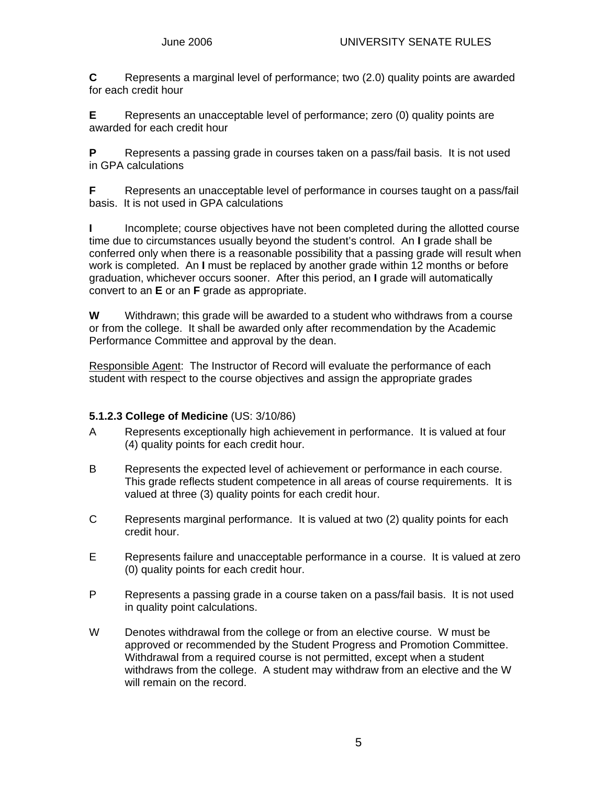**C** Represents a marginal level of performance; two (2.0) quality points are awarded for each credit hour

**E** Represents an unacceptable level of performance; zero (0) quality points are awarded for each credit hour

**P** Represents a passing grade in courses taken on a pass/fail basis. It is not used in GPA calculations

**F** Represents an unacceptable level of performance in courses taught on a pass/fail basis. It is not used in GPA calculations

**I** Incomplete; course objectives have not been completed during the allotted course time due to circumstances usually beyond the student's control. An **I** grade shall be conferred only when there is a reasonable possibility that a passing grade will result when work is completed. An **I** must be replaced by another grade within 12 months or before graduation, whichever occurs sooner. After this period, an **I** grade will automatically convert to an **E** or an **F** grade as appropriate.

**W** Withdrawn; this grade will be awarded to a student who withdraws from a course or from the college. It shall be awarded only after recommendation by the Academic Performance Committee and approval by the dean.

Responsible Agent: The Instructor of Record will evaluate the performance of each student with respect to the course objectives and assign the appropriate grades

### **5.1.2.3 College of Medicine** (US: 3/10/86)

- A Represents exceptionally high achievement in performance. It is valued at four (4) quality points for each credit hour.
- B Represents the expected level of achievement or performance in each course. This grade reflects student competence in all areas of course requirements. It is valued at three (3) quality points for each credit hour.
- C Represents marginal performance. It is valued at two (2) quality points for each credit hour.
- E Represents failure and unacceptable performance in a course. It is valued at zero (0) quality points for each credit hour.
- P Represents a passing grade in a course taken on a pass/fail basis. It is not used in quality point calculations.
- W Denotes withdrawal from the college or from an elective course. W must be approved or recommended by the Student Progress and Promotion Committee. Withdrawal from a required course is not permitted, except when a student withdraws from the college. A student may withdraw from an elective and the W will remain on the record.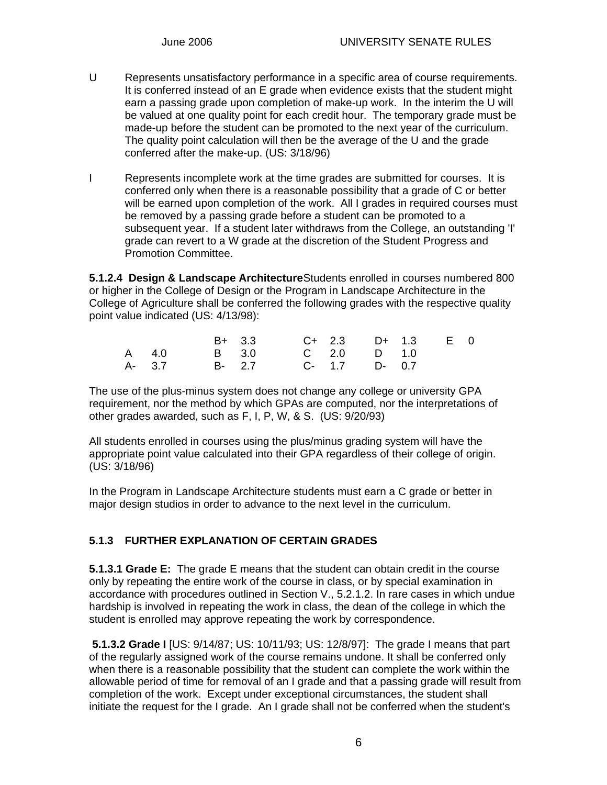- U Represents unsatisfactory performance in a specific area of course requirements. It is conferred instead of an E grade when evidence exists that the student might earn a passing grade upon completion of make-up work. In the interim the U will be valued at one quality point for each credit hour. The temporary grade must be made-up before the student can be promoted to the next year of the curriculum. The quality point calculation will then be the average of the U and the grade conferred after the make-up. (US: 3/18/96)
- I Represents incomplete work at the time grades are submitted for courses. It is conferred only when there is a reasonable possibility that a grade of C or better will be earned upon completion of the work. All I grades in required courses must be removed by a passing grade before a student can be promoted to a subsequent year. If a student later withdraws from the College, an outstanding 'I' grade can revert to a W grade at the discretion of the Student Progress and Promotion Committee.

**5.1.2.4 Design & Landscape Architecture** Students enrolled in courses numbered 800 or higher in the College of Design or the Program in Landscape Architecture in the College of Agriculture shall be conferred the following grades with the respective quality point value indicated (US: 4/13/98):

|                         | B+ 3.3 C+ 2.3 D+ 1.3 E 0 |  |  |  |
|-------------------------|--------------------------|--|--|--|
| A 4.0                   | B 3.0 C 2.0 D 1.0        |  |  |  |
| A-3.7 B-2.7 C-1.7 D-0.7 |                          |  |  |  |

The use of the plus-minus system does not change any college or university GPA requirement, nor the method by which GPAs are computed, nor the interpretations of other grades awarded, such as F, I, P, W, & S. (US: 9/20/93)

All students enrolled in courses using the plus/minus grading system will have the appropriate point value calculated into their GPA regardless of their college of origin. (US: 3/18/96)

In the Program in Landscape Architecture students must earn a C grade or better in major design studios in order to advance to the next level in the curriculum.

## **5.1.3 FURTHER EXPLANATION OF CERTAIN GRADES**

**5.1.3.1 Grade E:** The grade E means that the student can obtain credit in the course only by repeating the entire work of the course in class, or by special examination in accordance with procedures outlined in Section V., 5.2.1.2. In rare cases in which undue hardship is involved in repeating the work in class, the dean of the college in which the student is enrolled may approve repeating the work by correspondence.

 **5.1.3.2 Grade I** [US: 9/14/87; US: 10/11/93; US: 12/8/97]: The grade I means that part of the regularly assigned work of the course remains undone. It shall be conferred only when there is a reasonable possibility that the student can complete the work within the allowable period of time for removal of an I grade and that a passing grade will result from completion of the work. Except under exceptional circumstances, the student shall initiate the request for the I grade. An I grade shall not be conferred when the student's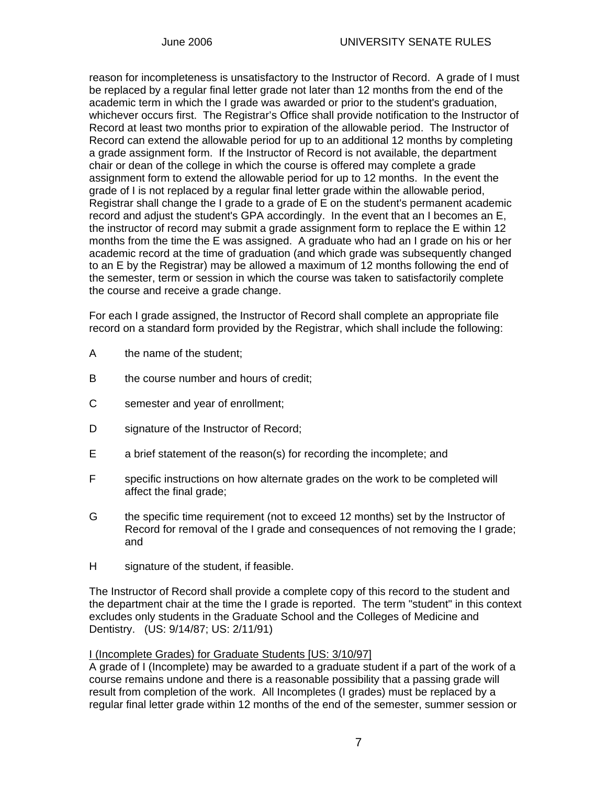reason for incompleteness is unsatisfactory to the Instructor of Record. A grade of I must be replaced by a regular final letter grade not later than 12 months from the end of the academic term in which the I grade was awarded or prior to the student's graduation, whichever occurs first. The Registrar's Office shall provide notification to the Instructor of Record at least two months prior to expiration of the allowable period. The Instructor of Record can extend the allowable period for up to an additional 12 months by completing a grade assignment form. If the Instructor of Record is not available, the department chair or dean of the college in which the course is offered may complete a grade assignment form to extend the allowable period for up to 12 months. In the event the grade of I is not replaced by a regular final letter grade within the allowable period, Registrar shall change the I grade to a grade of E on the student's permanent academic record and adjust the student's GPA accordingly. In the event that an I becomes an E, the instructor of record may submit a grade assignment form to replace the E within 12 months from the time the E was assigned. A graduate who had an I grade on his or her academic record at the time of graduation (and which grade was subsequently changed to an E by the Registrar) may be allowed a maximum of 12 months following the end of the semester, term or session in which the course was taken to satisfactorily complete the course and receive a grade change.

For each I grade assigned, the Instructor of Record shall complete an appropriate file record on a standard form provided by the Registrar, which shall include the following:

- A the name of the student;
- B the course number and hours of credit;
- C semester and year of enrollment;
- D signature of the Instructor of Record;
- E a brief statement of the reason(s) for recording the incomplete; and
- F specific instructions on how alternate grades on the work to be completed will affect the final grade;
- G the specific time requirement (not to exceed 12 months) set by the Instructor of Record for removal of the I grade and consequences of not removing the I grade; and
- H signature of the student, if feasible.

The Instructor of Record shall provide a complete copy of this record to the student and the department chair at the time the I grade is reported. The term "student" in this context excludes only students in the Graduate School and the Colleges of Medicine and Dentistry. (US: 9/14/87; US: 2/11/91)

#### I (Incomplete Grades) for Graduate Students [US: 3/10/97]

A grade of I (Incomplete) may be awarded to a graduate student if a part of the work of a course remains undone and there is a reasonable possibility that a passing grade will result from completion of the work. All Incompletes (I grades) must be replaced by a regular final letter grade within 12 months of the end of the semester, summer session or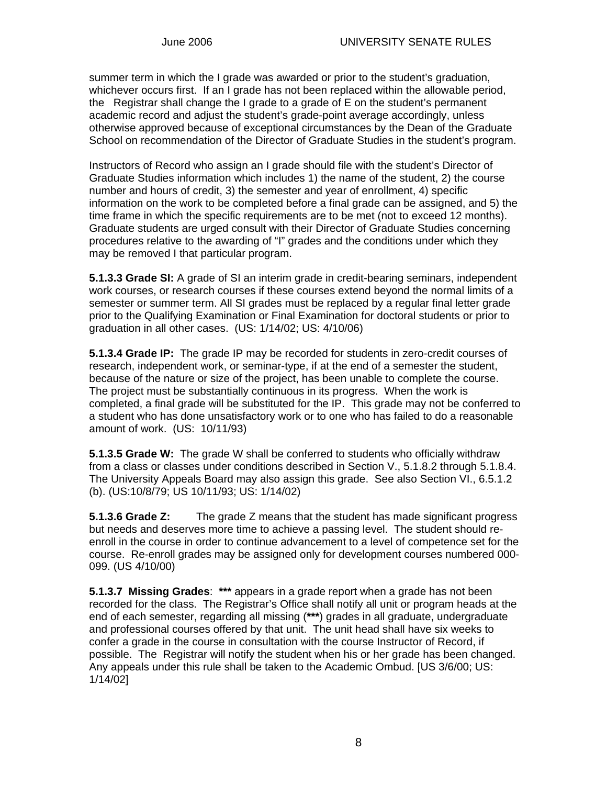summer term in which the I grade was awarded or prior to the student's graduation, whichever occurs first. If an I grade has not been replaced within the allowable period, the Registrar shall change the I grade to a grade of E on the student's permanent academic record and adjust the student's grade-point average accordingly, unless otherwise approved because of exceptional circumstances by the Dean of the Graduate School on recommendation of the Director of Graduate Studies in the student's program.

Instructors of Record who assign an I grade should file with the student's Director of Graduate Studies information which includes 1) the name of the student, 2) the course number and hours of credit, 3) the semester and year of enrollment, 4) specific information on the work to be completed before a final grade can be assigned, and 5) the time frame in which the specific requirements are to be met (not to exceed 12 months). Graduate students are urged consult with their Director of Graduate Studies concerning procedures relative to the awarding of "I" grades and the conditions under which they may be removed I that particular program.

**5.1.3.3 Grade SI:** A grade of SI an interim grade in credit-bearing seminars, independent work courses, or research courses if these courses extend beyond the normal limits of a semester or summer term. All SI grades must be replaced by a regular final letter grade prior to the Qualifying Examination or Final Examination for doctoral students or prior to graduation in all other cases. (US: 1/14/02; US: 4/10/06)

**5.1.3.4 Grade IP:** The grade IP may be recorded for students in zero-credit courses of research, independent work, or seminar-type, if at the end of a semester the student, because of the nature or size of the project, has been unable to complete the course. The project must be substantially continuous in its progress. When the work is completed, a final grade will be substituted for the IP. This grade may not be conferred to a student who has done unsatisfactory work or to one who has failed to do a reasonable amount of work. (US: 10/11/93)

**5.1.3.5 Grade W:** The grade W shall be conferred to students who officially withdraw from a class or classes under conditions described in Section V., 5.1.8.2 through 5.1.8.4. The University Appeals Board may also assign this grade. See also Section VI., 6.5.1.2 (b). (US:10/8/79; US 10/11/93; US: 1/14/02)

**5.1.3.6 Grade Z:** The grade Z means that the student has made significant progress but needs and deserves more time to achieve a passing level. The student should reenroll in the course in order to continue advancement to a level of competence set for the course. Re-enroll grades may be assigned only for development courses numbered 000- 099. (US 4/10/00)

**5.1.3.7 Missing Grades**: **\*\*\*** appears in a grade report when a grade has not been recorded for the class. The Registrar's Office shall notify all unit or program heads at the end of each semester, regarding all missing (**\*\*\***) grades in all graduate, undergraduate and professional courses offered by that unit. The unit head shall have six weeks to confer a grade in the course in consultation with the course Instructor of Record, if possible. The Registrar will notify the student when his or her grade has been changed. Any appeals under this rule shall be taken to the Academic Ombud. [US 3/6/00; US: 1/14/02]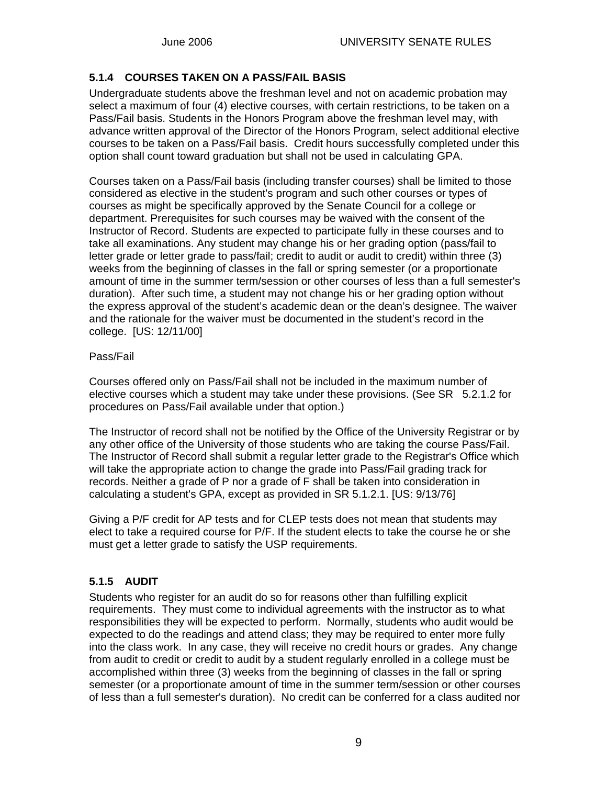### **5.1.4 COURSES TAKEN ON A PASS/FAIL BASIS**

Undergraduate students above the freshman level and not on academic probation may select a maximum of four (4) elective courses, with certain restrictions, to be taken on a Pass/Fail basis. Students in the Honors Program above the freshman level may, with advance written approval of the Director of the Honors Program, select additional elective courses to be taken on a Pass/Fail basis. Credit hours successfully completed under this option shall count toward graduation but shall not be used in calculating GPA.

Courses taken on a Pass/Fail basis (including transfer courses) shall be limited to those considered as elective in the student's program and such other courses or types of courses as might be specifically approved by the Senate Council for a college or department. Prerequisites for such courses may be waived with the consent of the Instructor of Record. Students are expected to participate fully in these courses and to take all examinations. Any student may change his or her grading option (pass/fail to letter grade or letter grade to pass/fail; credit to audit or audit to credit) within three (3) weeks from the beginning of classes in the fall or spring semester (or a proportionate amount of time in the summer term/session or other courses of less than a full semester's duration). After such time, a student may not change his or her grading option without the express approval of the student's academic dean or the dean's designee. The waiver and the rationale for the waiver must be documented in the student's record in the college. [US: 12/11/00]

#### Pass/Fail

Courses offered only on Pass/Fail shall not be included in the maximum number of elective courses which a student may take under these provisions. (See SR 5.2.1.2 for procedures on Pass/Fail available under that option.)

The Instructor of record shall not be notified by the Office of the University Registrar or by any other office of the University of those students who are taking the course Pass/Fail. The Instructor of Record shall submit a regular letter grade to the Registrar's Office which will take the appropriate action to change the grade into Pass/Fail grading track for records. Neither a grade of P nor a grade of F shall be taken into consideration in calculating a student's GPA, except as provided in SR 5.1.2.1. [US: 9/13/76]

Giving a P/F credit for AP tests and for CLEP tests does not mean that students may elect to take a required course for P/F. If the student elects to take the course he or she must get a letter grade to satisfy the USP requirements.

## **5.1.5 AUDIT**

Students who register for an audit do so for reasons other than fulfilling explicit requirements. They must come to individual agreements with the instructor as to what responsibilities they will be expected to perform. Normally, students who audit would be expected to do the readings and attend class; they may be required to enter more fully into the class work. In any case, they will receive no credit hours or grades. Any change from audit to credit or credit to audit by a student regularly enrolled in a college must be accomplished within three (3) weeks from the beginning of classes in the fall or spring semester (or a proportionate amount of time in the summer term/session or other courses of less than a full semester's duration). No credit can be conferred for a class audited nor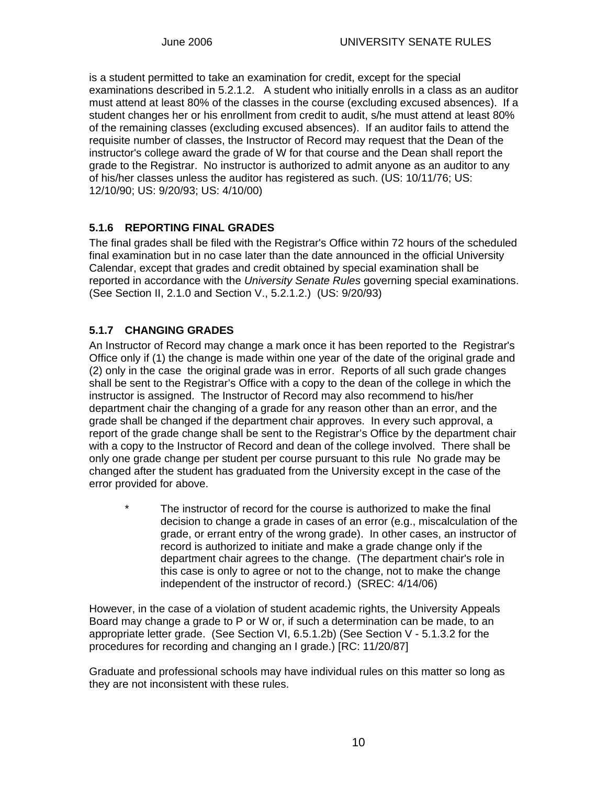is a student permitted to take an examination for credit, except for the special examinations described in 5.2.1.2. A student who initially enrolls in a class as an auditor must attend at least 80% of the classes in the course (excluding excused absences). If a student changes her or his enrollment from credit to audit, s/he must attend at least 80% of the remaining classes (excluding excused absences). If an auditor fails to attend the requisite number of classes, the Instructor of Record may request that the Dean of the instructor's college award the grade of W for that course and the Dean shall report the grade to the Registrar. No instructor is authorized to admit anyone as an auditor to any of his/her classes unless the auditor has registered as such. (US: 10/11/76; US: 12/10/90; US: 9/20/93; US: 4/10/00)

## **5.1.6 REPORTING FINAL GRADES**

The final grades shall be filed with the Registrar's Office within 72 hours of the scheduled final examination but in no case later than the date announced in the official University Calendar, except that grades and credit obtained by special examination shall be reported in accordance with the *University Senate Rules* governing special examinations. (See Section II, 2.1.0 and Section V., 5.2.1.2.) (US: 9/20/93)

## **5.1.7 CHANGING GRADES**

An Instructor of Record may change a mark once it has been reported to the Registrar's Office only if (1) the change is made within one year of the date of the original grade and (2) only in the case the original grade was in error. Reports of all such grade changes shall be sent to the Registrar's Office with a copy to the dean of the college in which the instructor is assigned. The Instructor of Record may also recommend to his/her department chair the changing of a grade for any reason other than an error, and the grade shall be changed if the department chair approves. In every such approval, a report of the grade change shall be sent to the Registrar's Office by the department chair with a copy to the Instructor of Record and dean of the college involved. There shall be only one grade change per student per course pursuant to this rule No grade may be changed after the student has graduated from the University except in the case of the error provided for above.

\* The instructor of record for the course is authorized to make the final decision to change a grade in cases of an error (e.g., miscalculation of the grade, or errant entry of the wrong grade). In other cases, an instructor of record is authorized to initiate and make a grade change only if the department chair agrees to the change. (The department chair's role in this case is only to agree or not to the change, not to make the change independent of the instructor of record.) (SREC: 4/14/06)

However, in the case of a violation of student academic rights, the University Appeals Board may change a grade to P or W or, if such a determination can be made, to an appropriate letter grade. (See Section VI, 6.5.1.2b) (See Section V - 5.1.3.2 for the procedures for recording and changing an I grade.) [RC: 11/20/87]

Graduate and professional schools may have individual rules on this matter so long as they are not inconsistent with these rules.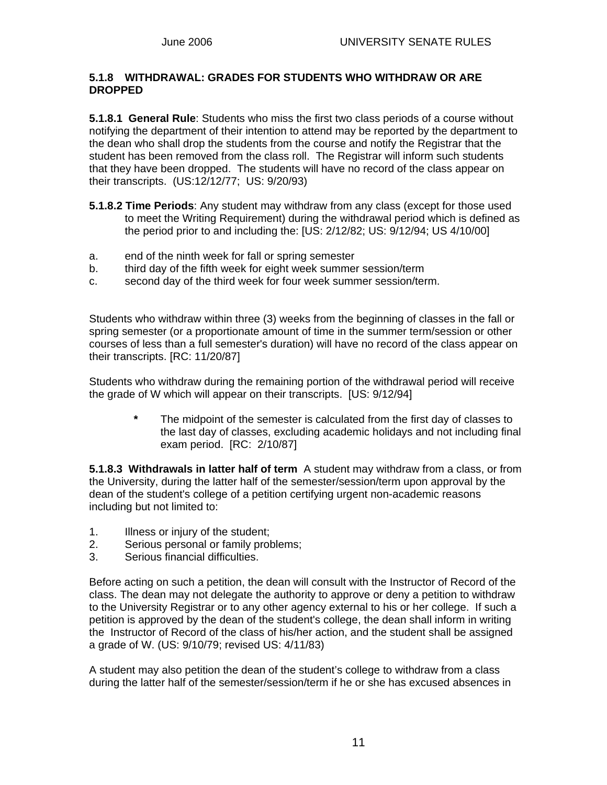#### **5.1.8 WITHDRAWAL: GRADES FOR STUDENTS WHO WITHDRAW OR ARE DROPPED**

**5.1.8.1 General Rule**: Students who miss the first two class periods of a course without notifying the department of their intention to attend may be reported by the department to the dean who shall drop the students from the course and notify the Registrar that the student has been removed from the class roll. The Registrar will inform such students that they have been dropped. The students will have no record of the class appear on their transcripts. (US:12/12/77; US: 9/20/93)

- **5.1.8.2 Time Periods**: Any student may withdraw from any class (except for those used to meet the Writing Requirement) during the withdrawal period which is defined as the period prior to and including the: [US: 2/12/82; US: 9/12/94; US 4/10/00]
- a. end of the ninth week for fall or spring semester
- b. third day of the fifth week for eight week summer session/term
- c. second day of the third week for four week summer session/term.

Students who withdraw within three (3) weeks from the beginning of classes in the fall or spring semester (or a proportionate amount of time in the summer term/session or other courses of less than a full semester's duration) will have no record of the class appear on their transcripts. [RC: 11/20/87]

Students who withdraw during the remaining portion of the withdrawal period will receive the grade of W which will appear on their transcripts. [US: 9/12/94]

> **\*** The midpoint of the semester is calculated from the first day of classes to the last day of classes, excluding academic holidays and not including final exam period. [RC: 2/10/87]

**5.1.8.3 Withdrawals in latter half of term** A student may withdraw from a class, or from the University, during the latter half of the semester/session/term upon approval by the dean of the student's college of a petition certifying urgent non-academic reasons including but not limited to:

- 1. Illness or injury of the student;
- 2. Serious personal or family problems;
- 3. Serious financial difficulties.

Before acting on such a petition, the dean will consult with the Instructor of Record of the class. The dean may not delegate the authority to approve or deny a petition to withdraw to the University Registrar or to any other agency external to his or her college. If such a petition is approved by the dean of the student's college, the dean shall inform in writing the Instructor of Record of the class of his/her action, and the student shall be assigned a grade of W. (US: 9/10/79; revised US: 4/11/83)

A student may also petition the dean of the student's college to withdraw from a class during the latter half of the semester/session/term if he or she has excused absences in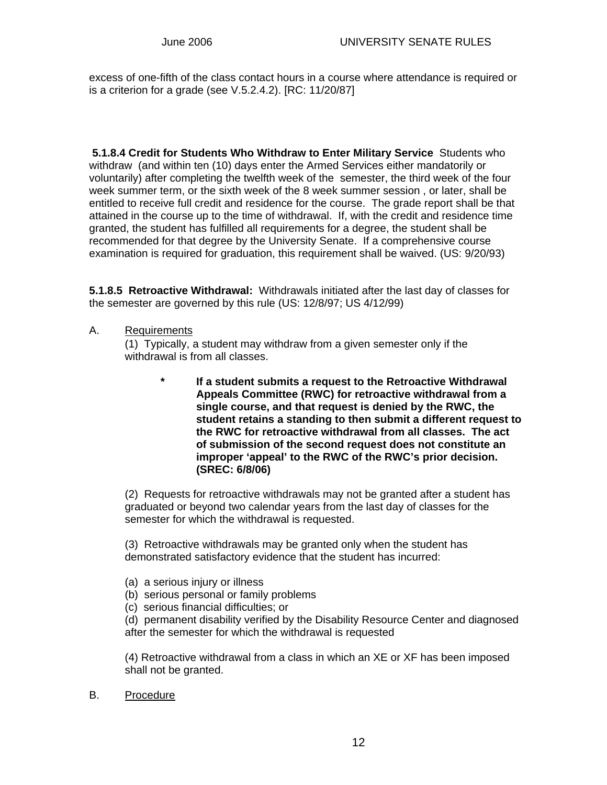excess of one-fifth of the class contact hours in a course where attendance is required or is a criterion for a grade (see V.5.2.4.2). [RC: 11/20/87]

 **5.1.8.4 Credit for Students Who Withdraw to Enter Military Service** Students who withdraw (and within ten (10) days enter the Armed Services either mandatorily or voluntarily) after completing the twelfth week of the semester, the third week of the four week summer term, or the sixth week of the 8 week summer session , or later, shall be entitled to receive full credit and residence for the course. The grade report shall be that attained in the course up to the time of withdrawal. If, with the credit and residence time granted, the student has fulfilled all requirements for a degree, the student shall be recommended for that degree by the University Senate. If a comprehensive course examination is required for graduation, this requirement shall be waived. (US: 9/20/93)

**5.1.8.5 Retroactive Withdrawal:** Withdrawals initiated after the last day of classes for the semester are governed by this rule (US: 12/8/97; US 4/12/99)

A. Requirements

(1) Typically, a student may withdraw from a given semester only if the withdrawal is from all classes.

> **\* If a student submits a request to the Retroactive Withdrawal Appeals Committee (RWC) for retroactive withdrawal from a single course, and that request is denied by the RWC, the student retains a standing to then submit a different request to the RWC for retroactive withdrawal from all classes. The act of submission of the second request does not constitute an improper 'appeal' to the RWC of the RWC's prior decision. (SREC: 6/8/06)**

(2) Requests for retroactive withdrawals may not be granted after a student has graduated or beyond two calendar years from the last day of classes for the semester for which the withdrawal is requested.

(3) Retroactive withdrawals may be granted only when the student has demonstrated satisfactory evidence that the student has incurred:

- (a) a serious injury or illness
- (b) serious personal or family problems
- (c) serious financial difficulties; or

(d) permanent disability verified by the Disability Resource Center and diagnosed after the semester for which the withdrawal is requested

(4) Retroactive withdrawal from a class in which an XE or XF has been imposed shall not be granted.

B. Procedure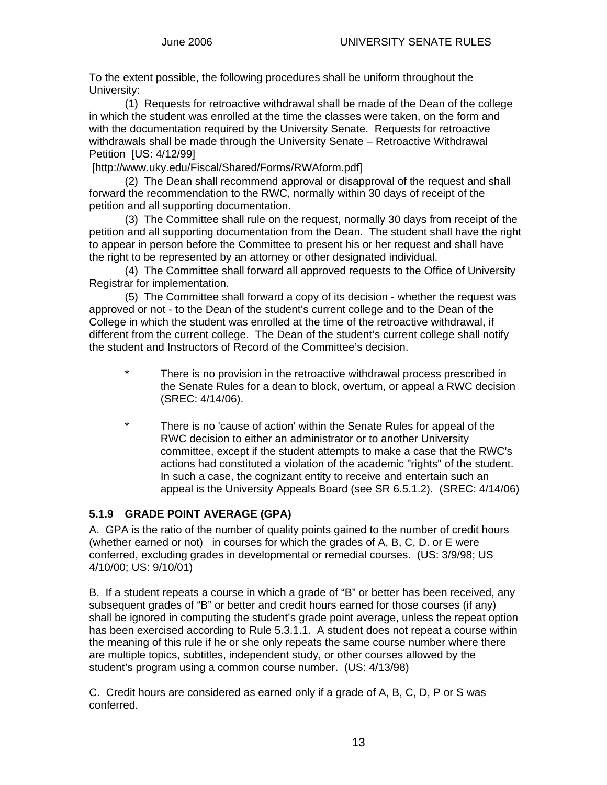To the extent possible, the following procedures shall be uniform throughout the University:

 (1) Requests for retroactive withdrawal shall be made of the Dean of the college in which the student was enrolled at the time the classes were taken, on the form and with the documentation required by the University Senate. Requests for retroactive withdrawals shall be made through the University Senate – Retroactive Withdrawal Petition [US: 4/12/99]

[http://www.uky.edu/Fiscal/Shared/Forms/RWAform.pdf]

 (2) The Dean shall recommend approval or disapproval of the request and shall forward the recommendation to the RWC, normally within 30 days of receipt of the petition and all supporting documentation.

 (3) The Committee shall rule on the request, normally 30 days from receipt of the petition and all supporting documentation from the Dean. The student shall have the right to appear in person before the Committee to present his or her request and shall have the right to be represented by an attorney or other designated individual.

 (4) The Committee shall forward all approved requests to the Office of University Registrar for implementation.

 (5) The Committee shall forward a copy of its decision - whether the request was approved or not - to the Dean of the student's current college and to the Dean of the College in which the student was enrolled at the time of the retroactive withdrawal, if different from the current college. The Dean of the student's current college shall notify the student and Instructors of Record of the Committee's decision.

- There is no provision in the retroactive withdrawal process prescribed in the Senate Rules for a dean to block, overturn, or appeal a RWC decision (SREC: 4/14/06).
- \* There is no 'cause of action' within the Senate Rules for appeal of the RWC decision to either an administrator or to another University committee, except if the student attempts to make a case that the RWC's actions had constituted a violation of the academic "rights" of the student. In such a case, the cognizant entity to receive and entertain such an appeal is the University Appeals Board (see SR 6.5.1.2). (SREC: 4/14/06)

### **5.1.9 GRADE POINT AVERAGE (GPA)**

A. GPA is the ratio of the number of quality points gained to the number of credit hours (whether earned or not) in courses for which the grades of A, B, C, D. or E were conferred, excluding grades in developmental or remedial courses. (US: 3/9/98; US 4/10/00; US: 9/10/01)

B. If a student repeats a course in which a grade of "B" or better has been received, any subsequent grades of "B" or better and credit hours earned for those courses (if any) shall be ignored in computing the student's grade point average, unless the repeat option has been exercised according to Rule 5.3.1.1. A student does not repeat a course within the meaning of this rule if he or she only repeats the same course number where there are multiple topics, subtitles, independent study, or other courses allowed by the student's program using a common course number. (US: 4/13/98)

C. Credit hours are considered as earned only if a grade of A, B, C, D, P or S was conferred.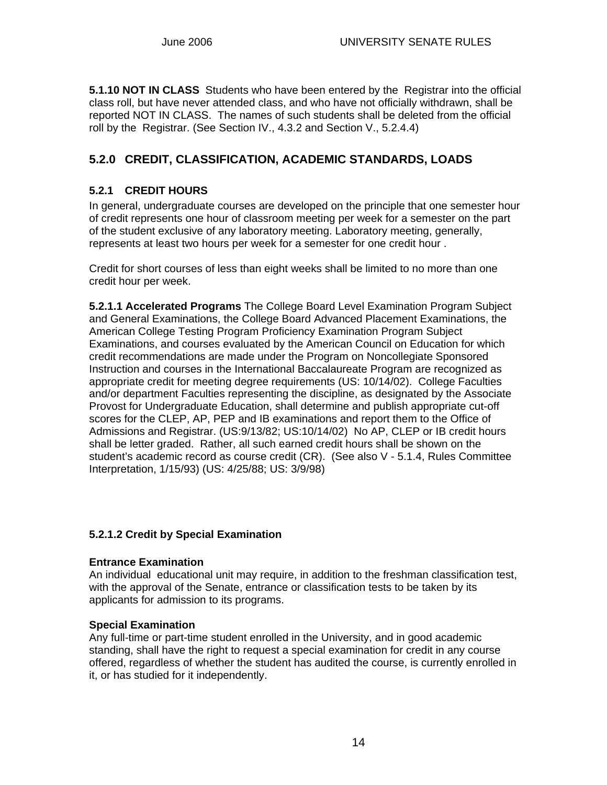**5.1.10 NOT IN CLASS** Students who have been entered by the Registrar into the official class roll, but have never attended class, and who have not officially withdrawn, shall be reported NOT IN CLASS. The names of such students shall be deleted from the official roll by the Registrar. (See Section IV., 4.3.2 and Section V., 5.2.4.4)

# **5.2.0 CREDIT, CLASSIFICATION, ACADEMIC STANDARDS, LOADS**

### **5.2.1 CREDIT HOURS**

In general, undergraduate courses are developed on the principle that one semester hour of credit represents one hour of classroom meeting per week for a semester on the part of the student exclusive of any laboratory meeting. Laboratory meeting, generally, represents at least two hours per week for a semester for one credit hour .

Credit for short courses of less than eight weeks shall be limited to no more than one credit hour per week.

**5.2.1.1 Accelerated Programs** The College Board Level Examination Program Subject and General Examinations, the College Board Advanced Placement Examinations, the American College Testing Program Proficiency Examination Program Subject Examinations, and courses evaluated by the American Council on Education for which credit recommendations are made under the Program on Noncollegiate Sponsored Instruction and courses in the International Baccalaureate Program are recognized as appropriate credit for meeting degree requirements (US: 10/14/02). College Faculties and/or department Faculties representing the discipline, as designated by the Associate Provost for Undergraduate Education, shall determine and publish appropriate cut-off scores for the CLEP, AP, PEP and IB examinations and report them to the Office of Admissions and Registrar. (US:9/13/82; US:10/14/02) No AP, CLEP or IB credit hours shall be letter graded. Rather, all such earned credit hours shall be shown on the student's academic record as course credit (CR). (See also V - 5.1.4, Rules Committee Interpretation, 1/15/93) (US: 4/25/88; US: 3/9/98)

### **5.2.1.2 Credit by Special Examination**

#### **Entrance Examination**

An individual educational unit may require, in addition to the freshman classification test, with the approval of the Senate, entrance or classification tests to be taken by its applicants for admission to its programs.

#### **Special Examination**

Any full-time or part-time student enrolled in the University, and in good academic standing, shall have the right to request a special examination for credit in any course offered, regardless of whether the student has audited the course, is currently enrolled in it, or has studied for it independently.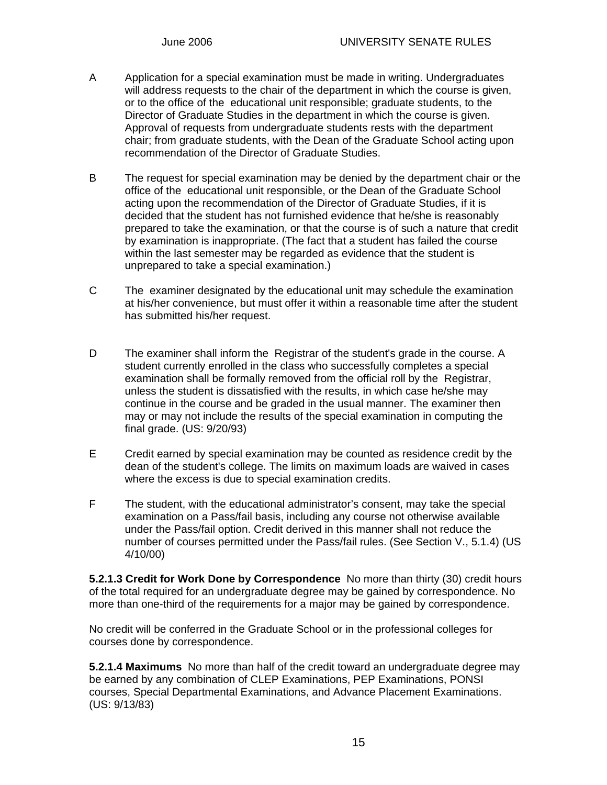- A Application for a special examination must be made in writing. Undergraduates will address requests to the chair of the department in which the course is given, or to the office of the educational unit responsible; graduate students, to the Director of Graduate Studies in the department in which the course is given. Approval of requests from undergraduate students rests with the department chair; from graduate students, with the Dean of the Graduate School acting upon recommendation of the Director of Graduate Studies.
- B The request for special examination may be denied by the department chair or the office of the educational unit responsible, or the Dean of the Graduate School acting upon the recommendation of the Director of Graduate Studies, if it is decided that the student has not furnished evidence that he/she is reasonably prepared to take the examination, or that the course is of such a nature that credit by examination is inappropriate. (The fact that a student has failed the course within the last semester may be regarded as evidence that the student is unprepared to take a special examination.)
- C The examiner designated by the educational unit may schedule the examination at his/her convenience, but must offer it within a reasonable time after the student has submitted his/her request.
- D The examiner shall inform the Registrar of the student's grade in the course. A student currently enrolled in the class who successfully completes a special examination shall be formally removed from the official roll by the Registrar, unless the student is dissatisfied with the results, in which case he/she may continue in the course and be graded in the usual manner. The examiner then may or may not include the results of the special examination in computing the final grade. (US: 9/20/93)
- E Credit earned by special examination may be counted as residence credit by the dean of the student's college. The limits on maximum loads are waived in cases where the excess is due to special examination credits.
- F The student, with the educational administrator's consent, may take the special examination on a Pass/fail basis, including any course not otherwise available under the Pass/fail option. Credit derived in this manner shall not reduce the number of courses permitted under the Pass/fail rules. (See Section V., 5.1.4) (US 4/10/00)

**5.2.1.3 Credit for Work Done by Correspondence** No more than thirty (30) credit hours of the total required for an undergraduate degree may be gained by correspondence. No more than one-third of the requirements for a major may be gained by correspondence.

No credit will be conferred in the Graduate School or in the professional colleges for courses done by correspondence.

**5.2.1.4 Maximums** No more than half of the credit toward an undergraduate degree may be earned by any combination of CLEP Examinations, PEP Examinations, PONSI courses, Special Departmental Examinations, and Advance Placement Examinations. (US: 9/13/83)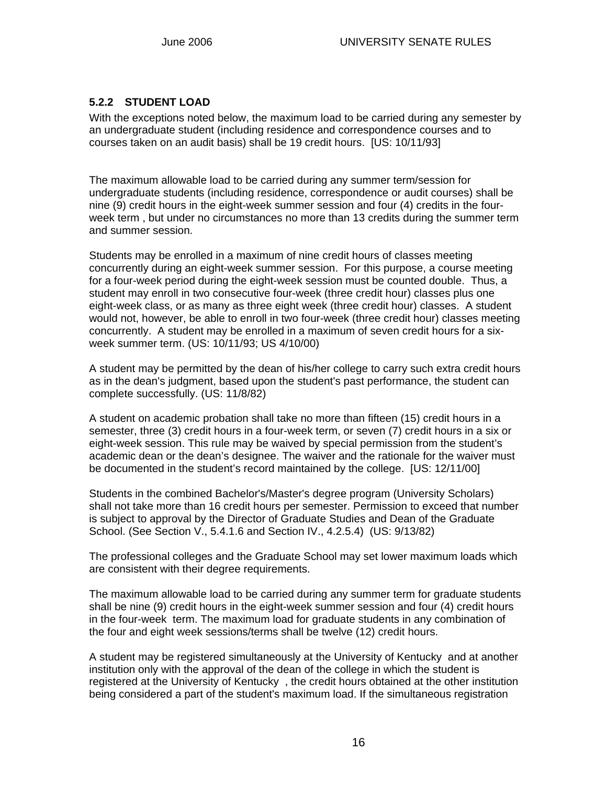### **5.2.2 STUDENT LOAD**

With the exceptions noted below, the maximum load to be carried during any semester by an undergraduate student (including residence and correspondence courses and to courses taken on an audit basis) shall be 19 credit hours. [US: 10/11/93]

The maximum allowable load to be carried during any summer term/session for undergraduate students (including residence, correspondence or audit courses) shall be nine (9) credit hours in the eight-week summer session and four (4) credits in the fourweek term , but under no circumstances no more than 13 credits during the summer term and summer session.

Students may be enrolled in a maximum of nine credit hours of classes meeting concurrently during an eight-week summer session. For this purpose, a course meeting for a four-week period during the eight-week session must be counted double. Thus, a student may enroll in two consecutive four-week (three credit hour) classes plus one eight-week class, or as many as three eight week (three credit hour) classes. A student would not, however, be able to enroll in two four-week (three credit hour) classes meeting concurrently. A student may be enrolled in a maximum of seven credit hours for a sixweek summer term. (US: 10/11/93; US 4/10/00)

A student may be permitted by the dean of his/her college to carry such extra credit hours as in the dean's judgment, based upon the student's past performance, the student can complete successfully. (US: 11/8/82)

A student on academic probation shall take no more than fifteen (15) credit hours in a semester, three (3) credit hours in a four-week term, or seven (7) credit hours in a six or eight-week session. This rule may be waived by special permission from the student's academic dean or the dean's designee. The waiver and the rationale for the waiver must be documented in the student's record maintained by the college. [US: 12/11/00]

Students in the combined Bachelor's/Master's degree program (University Scholars) shall not take more than 16 credit hours per semester. Permission to exceed that number is subject to approval by the Director of Graduate Studies and Dean of the Graduate School. (See Section V., 5.4.1.6 and Section IV., 4.2.5.4) (US: 9/13/82)

The professional colleges and the Graduate School may set lower maximum loads which are consistent with their degree requirements.

The maximum allowable load to be carried during any summer term for graduate students shall be nine (9) credit hours in the eight-week summer session and four (4) credit hours in the four-week term. The maximum load for graduate students in any combination of the four and eight week sessions/terms shall be twelve (12) credit hours.

A student may be registered simultaneously at the University of Kentucky and at another institution only with the approval of the dean of the college in which the student is registered at the University of Kentucky , the credit hours obtained at the other institution being considered a part of the student's maximum load. If the simultaneous registration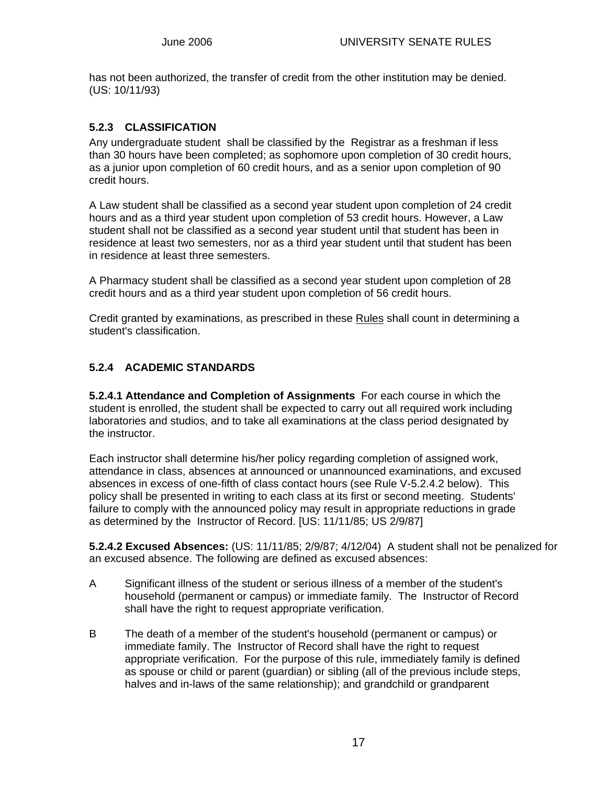has not been authorized, the transfer of credit from the other institution may be denied. (US: 10/11/93)

### **5.2.3 CLASSIFICATION**

Any undergraduate student shall be classified by the Registrar as a freshman if less than 30 hours have been completed; as sophomore upon completion of 30 credit hours, as a junior upon completion of 60 credit hours, and as a senior upon completion of 90 credit hours.

A Law student shall be classified as a second year student upon completion of 24 credit hours and as a third year student upon completion of 53 credit hours. However, a Law student shall not be classified as a second year student until that student has been in residence at least two semesters, nor as a third year student until that student has been in residence at least three semesters.

A Pharmacy student shall be classified as a second year student upon completion of 28 credit hours and as a third year student upon completion of 56 credit hours.

Credit granted by examinations, as prescribed in these Rules shall count in determining a student's classification.

## **5.2.4 ACADEMIC STANDARDS**

**5.2.4.1 Attendance and Completion of Assignments** For each course in which the student is enrolled, the student shall be expected to carry out all required work including laboratories and studios, and to take all examinations at the class period designated by the instructor.

Each instructor shall determine his/her policy regarding completion of assigned work, attendance in class, absences at announced or unannounced examinations, and excused absences in excess of one-fifth of class contact hours (see Rule V-5.2.4.2 below). This policy shall be presented in writing to each class at its first or second meeting. Students' failure to comply with the announced policy may result in appropriate reductions in grade as determined by the Instructor of Record. [US: 11/11/85; US 2/9/87]

**5.2.4.2 Excused Absences:** (US: 11/11/85; 2/9/87; 4/12/04) A student shall not be penalized for an excused absence. The following are defined as excused absences:

- A Significant illness of the student or serious illness of a member of the student's household (permanent or campus) or immediate family. The Instructor of Record shall have the right to request appropriate verification.
- B The death of a member of the student's household (permanent or campus) or immediate family. The Instructor of Record shall have the right to request appropriate verification. For the purpose of this rule, immediately family is defined as spouse or child or parent (guardian) or sibling (all of the previous include steps, halves and in-laws of the same relationship); and grandchild or grandparent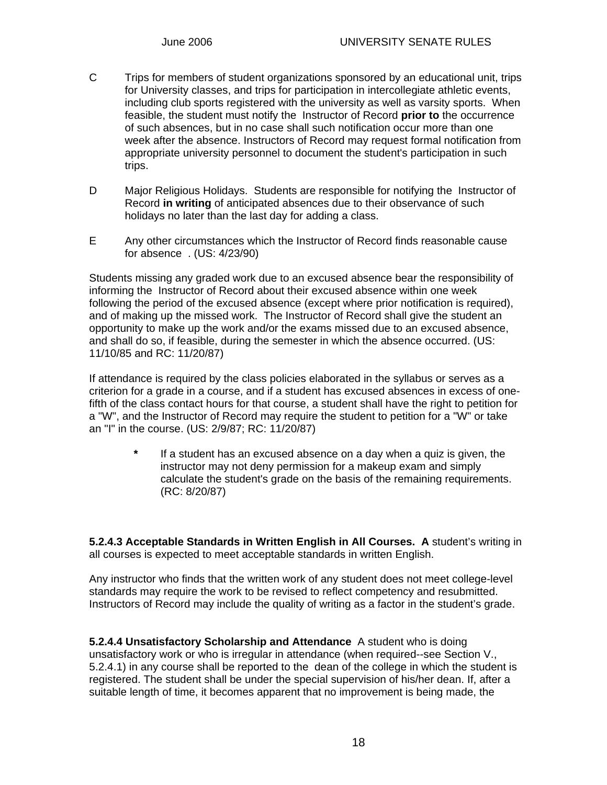- C Trips for members of student organizations sponsored by an educational unit, trips for University classes, and trips for participation in intercollegiate athletic events, including club sports registered with the university as well as varsity sports. When feasible, the student must notify the Instructor of Record **prior to** the occurrence of such absences, but in no case shall such notification occur more than one week after the absence. Instructors of Record may request formal notification from appropriate university personnel to document the student's participation in such trips.
- D Major Religious Holidays. Students are responsible for notifying the Instructor of Record **in writing** of anticipated absences due to their observance of such holidays no later than the last day for adding a class.
- E Any other circumstances which the Instructor of Record finds reasonable cause for absence . (US: 4/23/90)

Students missing any graded work due to an excused absence bear the responsibility of informing the Instructor of Record about their excused absence within one week following the period of the excused absence (except where prior notification is required), and of making up the missed work. The Instructor of Record shall give the student an opportunity to make up the work and/or the exams missed due to an excused absence, and shall do so, if feasible, during the semester in which the absence occurred. (US: 11/10/85 and RC: 11/20/87)

If attendance is required by the class policies elaborated in the syllabus or serves as a criterion for a grade in a course, and if a student has excused absences in excess of onefifth of the class contact hours for that course, a student shall have the right to petition for a "W", and the Instructor of Record may require the student to petition for a "W" or take an "I" in the course. (US: 2/9/87; RC: 11/20/87)

> **\*** If a student has an excused absence on a day when a quiz is given, the instructor may not deny permission for a makeup exam and simply calculate the student's grade on the basis of the remaining requirements. (RC: 8/20/87)

**5.2.4.3 Acceptable Standards in Written English in All Courses. A** student's writing in all courses is expected to meet acceptable standards in written English.

Any instructor who finds that the written work of any student does not meet college-level standards may require the work to be revised to reflect competency and resubmitted. Instructors of Record may include the quality of writing as a factor in the student's grade.

**5.2.4.4 Unsatisfactory Scholarship and Attendance** A student who is doing unsatisfactory work or who is irregular in attendance (when required--see Section V., 5.2.4.1) in any course shall be reported to the dean of the college in which the student is registered. The student shall be under the special supervision of his/her dean. If, after a suitable length of time, it becomes apparent that no improvement is being made, the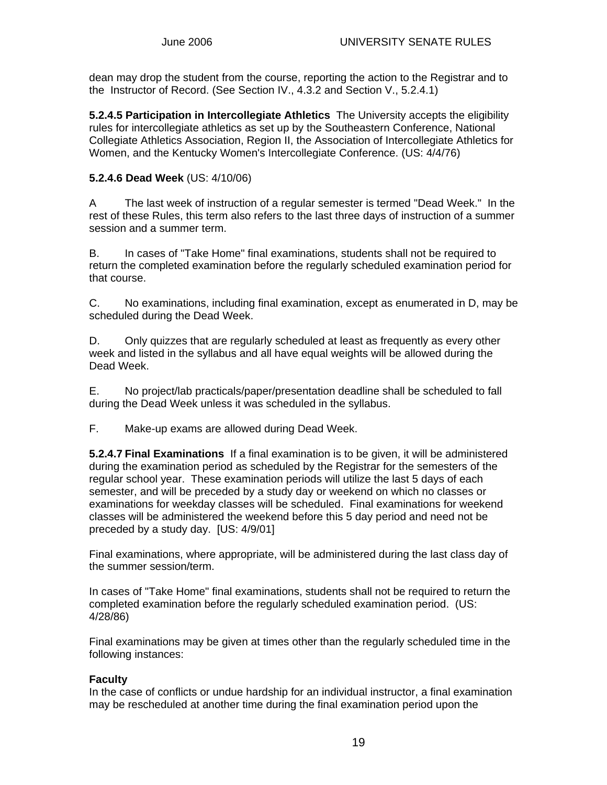dean may drop the student from the course, reporting the action to the Registrar and to the Instructor of Record. (See Section IV., 4.3.2 and Section V., 5.2.4.1)

**5.2.4.5 Participation in Intercollegiate Athletics** The University accepts the eligibility rules for intercollegiate athletics as set up by the Southeastern Conference, National Collegiate Athletics Association, Region II, the Association of Intercollegiate Athletics for Women, and the Kentucky Women's Intercollegiate Conference. (US: 4/4/76)

### **5.2.4.6 Dead Week** (US: 4/10/06)

A The last week of instruction of a regular semester is termed "Dead Week." In the rest of these Rules, this term also refers to the last three days of instruction of a summer session and a summer term.

B. In cases of "Take Home" final examinations, students shall not be required to return the completed examination before the regularly scheduled examination period for that course.

C. No examinations, including final examination, except as enumerated in D, may be scheduled during the Dead Week.

D. Only quizzes that are regularly scheduled at least as frequently as every other week and listed in the syllabus and all have equal weights will be allowed during the Dead Week.

E. No project/lab practicals/paper/presentation deadline shall be scheduled to fall during the Dead Week unless it was scheduled in the syllabus.

F. Make-up exams are allowed during Dead Week.

**5.2.4.7 Final Examinations** If a final examination is to be given, it will be administered during the examination period as scheduled by the Registrar for the semesters of the regular school year. These examination periods will utilize the last 5 days of each semester, and will be preceded by a study day or weekend on which no classes or examinations for weekday classes will be scheduled. Final examinations for weekend classes will be administered the weekend before this 5 day period and need not be preceded by a study day. [US: 4/9/01]

Final examinations, where appropriate, will be administered during the last class day of the summer session/term.

In cases of "Take Home" final examinations, students shall not be required to return the completed examination before the regularly scheduled examination period. (US: 4/28/86)

Final examinations may be given at times other than the regularly scheduled time in the following instances:

### **Faculty**

In the case of conflicts or undue hardship for an individual instructor, a final examination may be rescheduled at another time during the final examination period upon the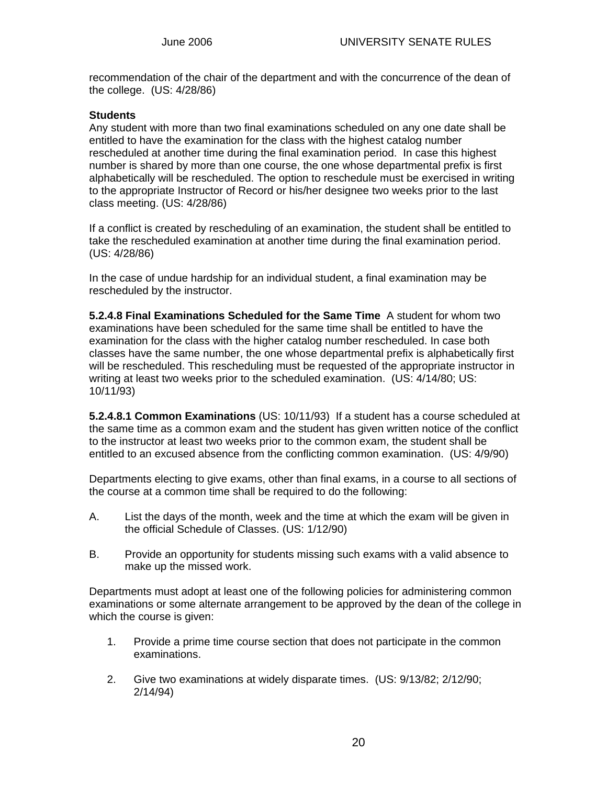recommendation of the chair of the department and with the concurrence of the dean of the college. (US: 4/28/86)

#### **Students**

Any student with more than two final examinations scheduled on any one date shall be entitled to have the examination for the class with the highest catalog number rescheduled at another time during the final examination period. In case this highest number is shared by more than one course, the one whose departmental prefix is first alphabetically will be rescheduled. The option to reschedule must be exercised in writing to the appropriate Instructor of Record or his/her designee two weeks prior to the last class meeting. (US: 4/28/86)

If a conflict is created by rescheduling of an examination, the student shall be entitled to take the rescheduled examination at another time during the final examination period. (US: 4/28/86)

In the case of undue hardship for an individual student, a final examination may be rescheduled by the instructor.

**5.2.4.8 Final Examinations Scheduled for the Same Time** A student for whom two examinations have been scheduled for the same time shall be entitled to have the examination for the class with the higher catalog number rescheduled. In case both classes have the same number, the one whose departmental prefix is alphabetically first will be rescheduled. This rescheduling must be requested of the appropriate instructor in writing at least two weeks prior to the scheduled examination. (US: 4/14/80; US: 10/11/93)

**5.2.4.8.1 Common Examinations** (US: 10/11/93) If a student has a course scheduled at the same time as a common exam and the student has given written notice of the conflict to the instructor at least two weeks prior to the common exam, the student shall be entitled to an excused absence from the conflicting common examination. (US: 4/9/90)

Departments electing to give exams, other than final exams, in a course to all sections of the course at a common time shall be required to do the following:

- A. List the days of the month, week and the time at which the exam will be given in the official Schedule of Classes. (US: 1/12/90)
- B. Provide an opportunity for students missing such exams with a valid absence to make up the missed work.

Departments must adopt at least one of the following policies for administering common examinations or some alternate arrangement to be approved by the dean of the college in which the course is given:

- 1. Provide a prime time course section that does not participate in the common examinations.
- 2. Give two examinations at widely disparate times. (US: 9/13/82; 2/12/90; 2/14/94)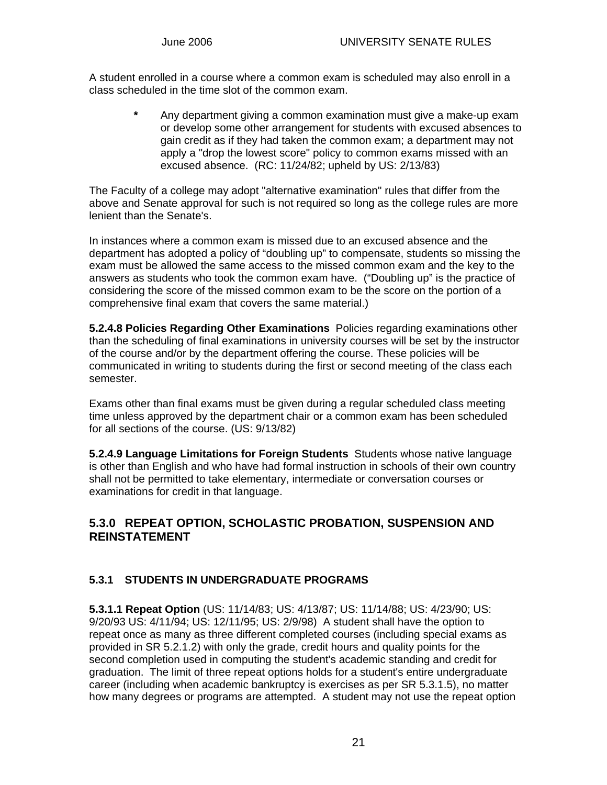A student enrolled in a course where a common exam is scheduled may also enroll in a class scheduled in the time slot of the common exam.

> **\*** Any department giving a common examination must give a make-up exam or develop some other arrangement for students with excused absences to gain credit as if they had taken the common exam; a department may not apply a "drop the lowest score" policy to common exams missed with an excused absence. (RC: 11/24/82; upheld by US: 2/13/83)

The Faculty of a college may adopt "alternative examination" rules that differ from the above and Senate approval for such is not required so long as the college rules are more lenient than the Senate's.

In instances where a common exam is missed due to an excused absence and the department has adopted a policy of "doubling up" to compensate, students so missing the exam must be allowed the same access to the missed common exam and the key to the answers as students who took the common exam have. ("Doubling up" is the practice of considering the score of the missed common exam to be the score on the portion of a comprehensive final exam that covers the same material.)

**5.2.4.8 Policies Regarding Other Examinations** Policies regarding examinations other than the scheduling of final examinations in university courses will be set by the instructor of the course and/or by the department offering the course. These policies will be communicated in writing to students during the first or second meeting of the class each semester.

Exams other than final exams must be given during a regular scheduled class meeting time unless approved by the department chair or a common exam has been scheduled for all sections of the course. (US: 9/13/82)

**5.2.4.9 Language Limitations for Foreign Students** Students whose native language is other than English and who have had formal instruction in schools of their own country shall not be permitted to take elementary, intermediate or conversation courses or examinations for credit in that language.

## **5.3.0 REPEAT OPTION, SCHOLASTIC PROBATION, SUSPENSION AND REINSTATEMENT**

## **5.3.1 STUDENTS IN UNDERGRADUATE PROGRAMS**

**5.3.1.1 Repeat Option** (US: 11/14/83; US: 4/13/87; US: 11/14/88; US: 4/23/90; US: 9/20/93 US: 4/11/94; US: 12/11/95; US: 2/9/98) A student shall have the option to repeat once as many as three different completed courses (including special exams as provided in SR 5.2.1.2) with only the grade, credit hours and quality points for the second completion used in computing the student's academic standing and credit for graduation. The limit of three repeat options holds for a student's entire undergraduate career (including when academic bankruptcy is exercises as per SR 5.3.1.5), no matter how many degrees or programs are attempted. A student may not use the repeat option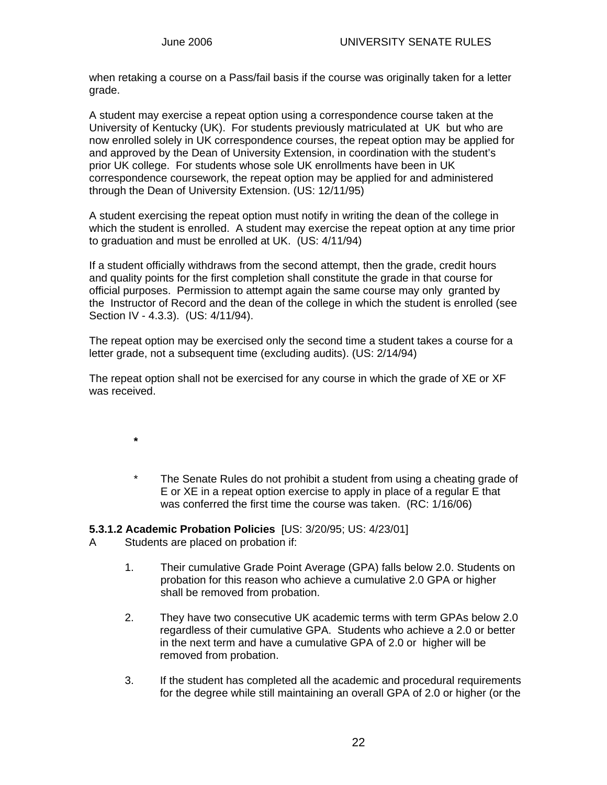when retaking a course on a Pass/fail basis if the course was originally taken for a letter grade.

A student may exercise a repeat option using a correspondence course taken at the University of Kentucky (UK). For students previously matriculated at UK but who are now enrolled solely in UK correspondence courses, the repeat option may be applied for and approved by the Dean of University Extension, in coordination with the student's prior UK college. For students whose sole UK enrollments have been in UK correspondence coursework, the repeat option may be applied for and administered through the Dean of University Extension. (US: 12/11/95)

A student exercising the repeat option must notify in writing the dean of the college in which the student is enrolled. A student may exercise the repeat option at any time prior to graduation and must be enrolled at UK. (US: 4/11/94)

If a student officially withdraws from the second attempt, then the grade, credit hours and quality points for the first completion shall constitute the grade in that course for official purposes. Permission to attempt again the same course may only granted by the Instructor of Record and the dean of the college in which the student is enrolled (see Section IV - 4.3.3). (US: 4/11/94).

The repeat option may be exercised only the second time a student takes a course for a letter grade, not a subsequent time (excluding audits). (US: 2/14/94)

The repeat option shall not be exercised for any course in which the grade of XE or XF was received.

- **\***
- \* The Senate Rules do not prohibit a student from using a cheating grade of E or XE in a repeat option exercise to apply in place of a regular E that was conferred the first time the course was taken. (RC: 1/16/06)

#### **5.3.1.2 Academic Probation Policies** [US: 3/20/95; US: 4/23/01]

- A Students are placed on probation if:
	- 1. Their cumulative Grade Point Average (GPA) falls below 2.0. Students on probation for this reason who achieve a cumulative 2.0 GPA or higher shall be removed from probation.
	- 2. They have two consecutive UK academic terms with term GPAs below 2.0 regardless of their cumulative GPA. Students who achieve a 2.0 or better in the next term and have a cumulative GPA of 2.0 or higher will be removed from probation.
	- 3. If the student has completed all the academic and procedural requirements for the degree while still maintaining an overall GPA of 2.0 or higher (or the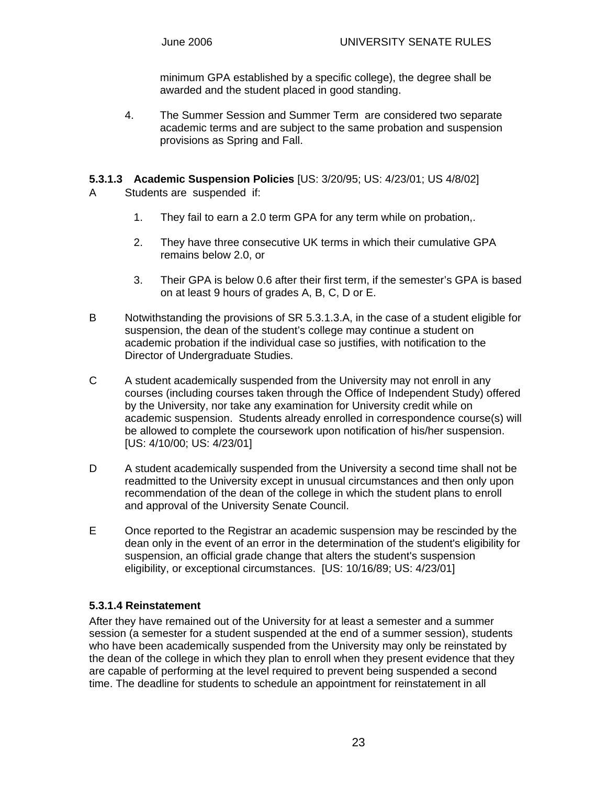minimum GPA established by a specific college), the degree shall be awarded and the student placed in good standing.

4. The Summer Session and Summer Term are considered two separate academic terms and are subject to the same probation and suspension provisions as Spring and Fall.

#### **5.3.1.3 Academic Suspension Policies** [US: 3/20/95; US: 4/23/01; US 4/8/02]

- A Students are suspended if:
	- 1. They fail to earn a 2.0 term GPA for any term while on probation,.
	- 2. They have three consecutive UK terms in which their cumulative GPA remains below 2.0, or
	- 3. Their GPA is below 0.6 after their first term, if the semester's GPA is based on at least 9 hours of grades A, B, C, D or E.
- B Notwithstanding the provisions of SR 5.3.1.3.A, in the case of a student eligible for suspension, the dean of the student's college may continue a student on academic probation if the individual case so justifies, with notification to the Director of Undergraduate Studies.
- C A student academically suspended from the University may not enroll in any courses (including courses taken through the Office of Independent Study) offered by the University, nor take any examination for University credit while on academic suspension. Students already enrolled in correspondence course(s) will be allowed to complete the coursework upon notification of his/her suspension. [US: 4/10/00; US: 4/23/01]
- D A student academically suspended from the University a second time shall not be readmitted to the University except in unusual circumstances and then only upon recommendation of the dean of the college in which the student plans to enroll and approval of the University Senate Council.
- E Once reported to the Registrar an academic suspension may be rescinded by the dean only in the event of an error in the determination of the student's eligibility for suspension, an official grade change that alters the student's suspension eligibility, or exceptional circumstances. [US: 10/16/89; US: 4/23/01]

### **5.3.1.4 Reinstatement**

After they have remained out of the University for at least a semester and a summer session (a semester for a student suspended at the end of a summer session), students who have been academically suspended from the University may only be reinstated by the dean of the college in which they plan to enroll when they present evidence that they are capable of performing at the level required to prevent being suspended a second time. The deadline for students to schedule an appointment for reinstatement in all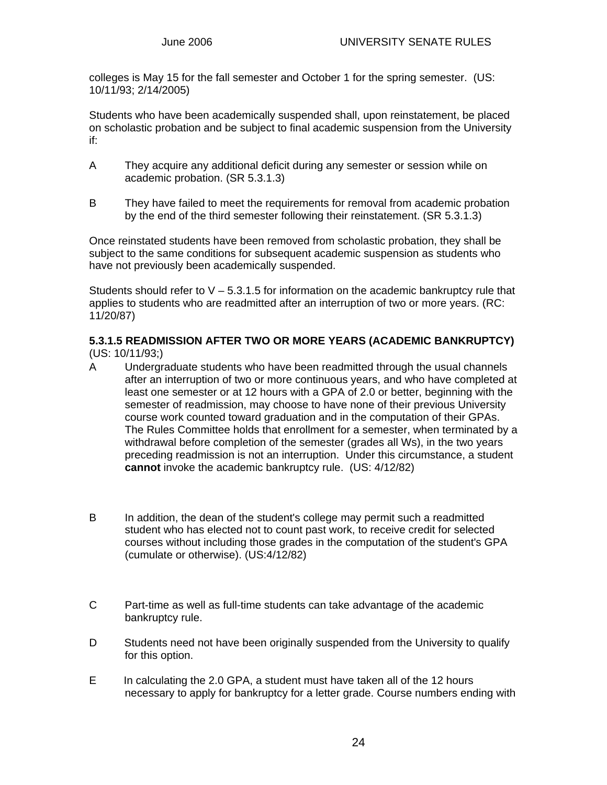colleges is May 15 for the fall semester and October 1 for the spring semester. (US: 10/11/93; 2/14/2005)

Students who have been academically suspended shall, upon reinstatement, be placed on scholastic probation and be subject to final academic suspension from the University if:

- A They acquire any additional deficit during any semester or session while on academic probation. (SR 5.3.1.3)
- B They have failed to meet the requirements for removal from academic probation by the end of the third semester following their reinstatement. (SR 5.3.1.3)

Once reinstated students have been removed from scholastic probation, they shall be subject to the same conditions for subsequent academic suspension as students who have not previously been academically suspended.

Students should refer to  $V - 5.3.1.5$  for information on the academic bankruptcy rule that applies to students who are readmitted after an interruption of two or more years. (RC: 11/20/87)

#### **5.3.1.5 READMISSION AFTER TWO OR MORE YEARS (ACADEMIC BANKRUPTCY)**  (US: 10/11/93;)

- A Undergraduate students who have been readmitted through the usual channels after an interruption of two or more continuous years, and who have completed at least one semester or at 12 hours with a GPA of 2.0 or better, beginning with the semester of readmission, may choose to have none of their previous University course work counted toward graduation and in the computation of their GPAs. The Rules Committee holds that enrollment for a semester, when terminated by a withdrawal before completion of the semester (grades all Ws), in the two years preceding readmission is not an interruption. Under this circumstance, a student **cannot** invoke the academic bankruptcy rule. (US: 4/12/82)
- B In addition, the dean of the student's college may permit such a readmitted student who has elected not to count past work, to receive credit for selected courses without including those grades in the computation of the student's GPA (cumulate or otherwise). (US:4/12/82)
- C Part-time as well as full-time students can take advantage of the academic bankruptcy rule.
- D Students need not have been originally suspended from the University to qualify for this option.
- E In calculating the 2.0 GPA, a student must have taken all of the 12 hours necessary to apply for bankruptcy for a letter grade. Course numbers ending with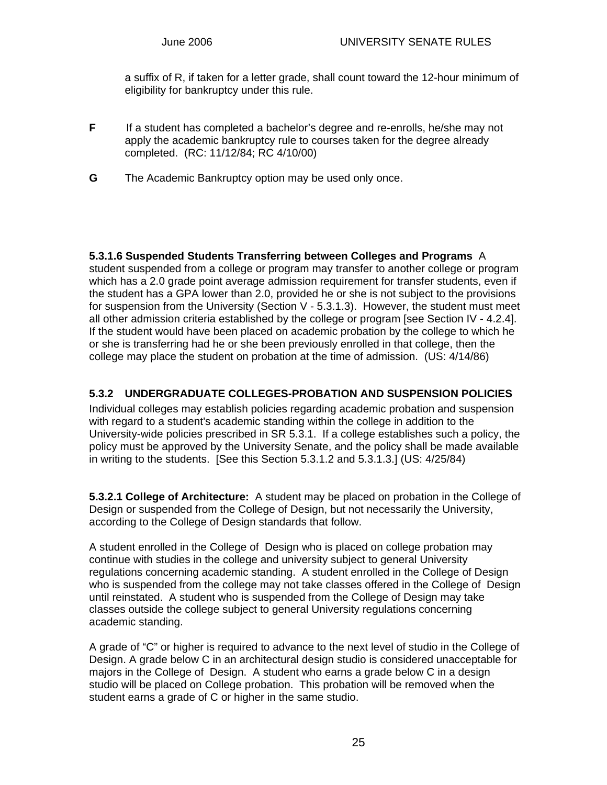a suffix of R, if taken for a letter grade, shall count toward the 12-hour minimum of eligibility for bankruptcy under this rule.

- **F** If a student has completed a bachelor's degree and re-enrolls, he/she may not apply the academic bankruptcy rule to courses taken for the degree already completed. (RC: 11/12/84; RC 4/10/00)
- **G** The Academic Bankruptcy option may be used only once.

**5.3.1.6 Suspended Students Transferring between Colleges and Programs** A student suspended from a college or program may transfer to another college or program which has a 2.0 grade point average admission requirement for transfer students, even if the student has a GPA lower than 2.0, provided he or she is not subject to the provisions for suspension from the University (Section  $V - 5.3.1.3$ ). However, the student must meet all other admission criteria established by the college or program [see Section IV - 4.2.4]. If the student would have been placed on academic probation by the college to which he or she is transferring had he or she been previously enrolled in that college, then the college may place the student on probation at the time of admission. (US: 4/14/86)

### **5.3.2 UNDERGRADUATE COLLEGES-PROBATION AND SUSPENSION POLICIES**

Individual colleges may establish policies regarding academic probation and suspension with regard to a student's academic standing within the college in addition to the University-wide policies prescribed in SR 5.3.1. If a college establishes such a policy, the policy must be approved by the University Senate, and the policy shall be made available in writing to the students. [See this Section 5.3.1.2 and 5.3.1.3.] (US: 4/25/84)

**5.3.2.1 College of Architecture:** A student may be placed on probation in the College of Design or suspended from the College of Design, but not necessarily the University, according to the College of Design standards that follow.

A student enrolled in the College of Design who is placed on college probation may continue with studies in the college and university subject to general University regulations concerning academic standing. A student enrolled in the College of Design who is suspended from the college may not take classes offered in the College of Design until reinstated. A student who is suspended from the College of Design may take classes outside the college subject to general University regulations concerning academic standing.

A grade of "C" or higher is required to advance to the next level of studio in the College of Design. A grade below C in an architectural design studio is considered unacceptable for majors in the College of Design. A student who earns a grade below C in a design studio will be placed on College probation. This probation will be removed when the student earns a grade of C or higher in the same studio.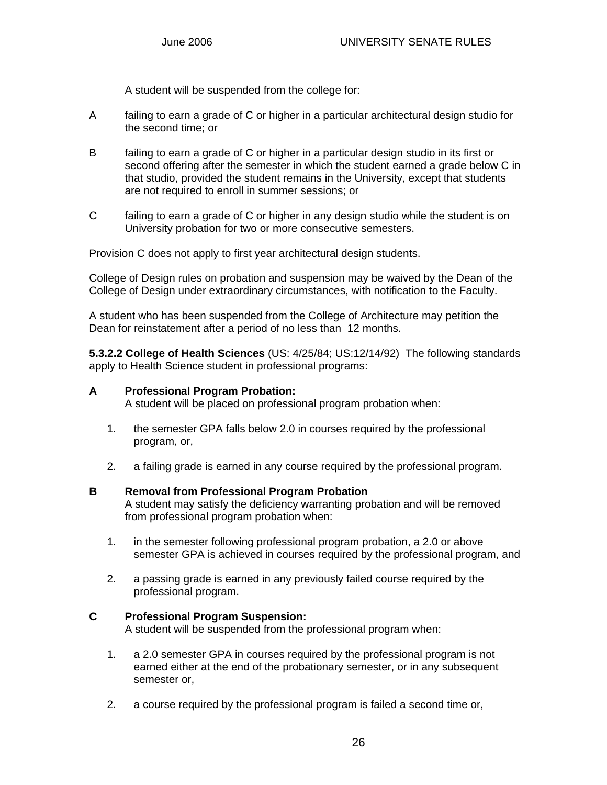A student will be suspended from the college for:

- A failing to earn a grade of C or higher in a particular architectural design studio for the second time; or
- B failing to earn a grade of C or higher in a particular design studio in its first or second offering after the semester in which the student earned a grade below C in that studio, provided the student remains in the University, except that students are not required to enroll in summer sessions; or
- C failing to earn a grade of C or higher in any design studio while the student is on University probation for two or more consecutive semesters.

Provision C does not apply to first year architectural design students.

College of Design rules on probation and suspension may be waived by the Dean of the College of Design under extraordinary circumstances, with notification to the Faculty.

A student who has been suspended from the College of Architecture may petition the Dean for reinstatement after a period of no less than 12 months.

**5.3.2.2 College of Health Sciences** (US: 4/25/84; US:12/14/92) The following standards apply to Health Science student in professional programs:

#### **A Professional Program Probation:**

A student will be placed on professional program probation when:

- 1. the semester GPA falls below 2.0 in courses required by the professional program, or,
- 2. a failing grade is earned in any course required by the professional program.

#### **B Removal from Professional Program Probation**

 A student may satisfy the deficiency warranting probation and will be removed from professional program probation when:

- 1. in the semester following professional program probation, a 2.0 or above semester GPA is achieved in courses required by the professional program, and
- 2. a passing grade is earned in any previously failed course required by the professional program.

#### **C Professional Program Suspension:**

A student will be suspended from the professional program when:

- 1. a 2.0 semester GPA in courses required by the professional program is not earned either at the end of the probationary semester, or in any subsequent semester or,
- 2. a course required by the professional program is failed a second time or,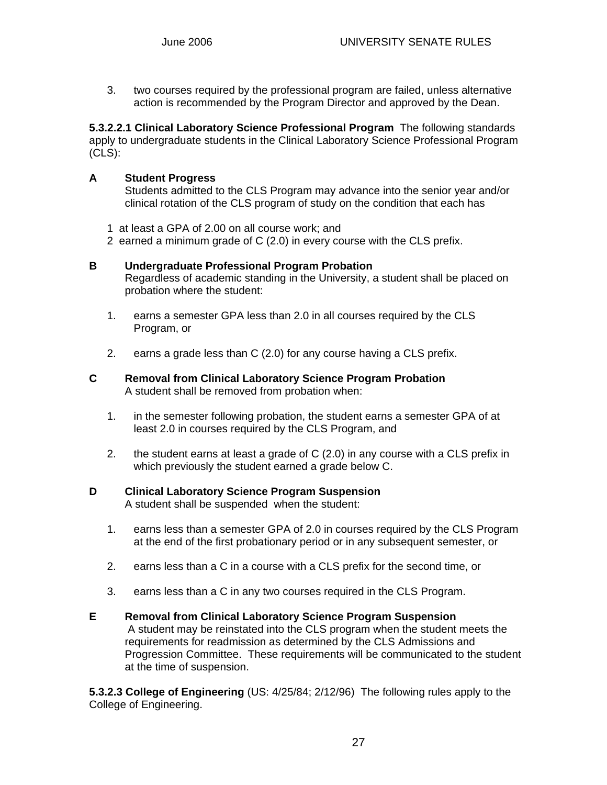3. two courses required by the professional program are failed, unless alternative action is recommended by the Program Director and approved by the Dean.

**5.3.2.2.1 Clinical Laboratory Science Professional Program** The following standards apply to undergraduate students in the Clinical Laboratory Science Professional Program (CLS):

#### **A Student Progress**

 Students admitted to the CLS Program may advance into the senior year and/or clinical rotation of the CLS program of study on the condition that each has

- 1 at least a GPA of 2.00 on all course work; and
- 2 earned a minimum grade of C (2.0) in every course with the CLS prefix.

#### **B Undergraduate Professional Program Probation**

 Regardless of academic standing in the University, a student shall be placed on probation where the student:

- 1. earns a semester GPA less than 2.0 in all courses required by the CLS Program, or
- 2. earns a grade less than C (2.0) for any course having a CLS prefix.

#### **C Removal from Clinical Laboratory Science Program Probation**  A student shall be removed from probation when:

- 1. in the semester following probation, the student earns a semester GPA of at least 2.0 in courses required by the CLS Program, and
- 2. the student earns at least a grade of C (2.0) in any course with a CLS prefix in which previously the student earned a grade below C.

# **D Clinical Laboratory Science Program Suspension**

A student shall be suspended when the student:

- 1. earns less than a semester GPA of 2.0 in courses required by the CLS Program at the end of the first probationary period or in any subsequent semester, or
- 2. earns less than a C in a course with a CLS prefix for the second time, or
- 3. earns less than a C in any two courses required in the CLS Program.

#### **E Removal from Clinical Laboratory Science Program Suspension** A student may be reinstated into the CLS program when the student meets the requirements for readmission as determined by the CLS Admissions and Progression Committee. These requirements will be communicated to the student at the time of suspension.

**5.3.2.3 College of Engineering** (US: 4/25/84; 2/12/96) The following rules apply to the College of Engineering.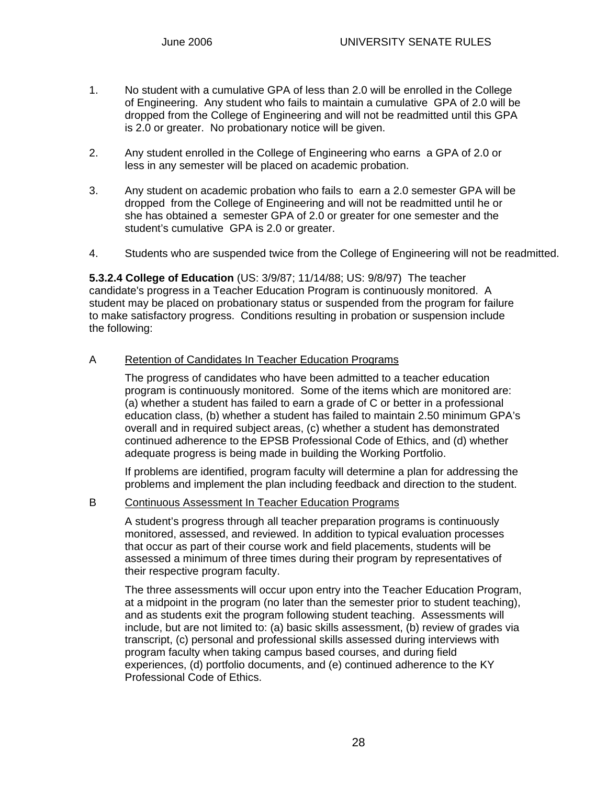- 1. No student with a cumulative GPA of less than 2.0 will be enrolled in the College of Engineering. Any student who fails to maintain a cumulative GPA of 2.0 will be dropped from the College of Engineering and will not be readmitted until this GPA is 2.0 or greater. No probationary notice will be given.
- 2. Any student enrolled in the College of Engineering who earns a GPA of 2.0 or less in any semester will be placed on academic probation.
- 3. Any student on academic probation who fails to earn a 2.0 semester GPA will be dropped from the College of Engineering and will not be readmitted until he or she has obtained a semester GPA of 2.0 or greater for one semester and the student's cumulative GPA is 2.0 or greater.
- 4. Students who are suspended twice from the College of Engineering will not be readmitted.

**5.3.2.4 College of Education** (US: 3/9/87; 11/14/88; US: 9/8/97)The teacher candidate's progress in a Teacher Education Program is continuously monitored. A student may be placed on probationary status or suspended from the program for failure to make satisfactory progress. Conditions resulting in probation or suspension include the following:

#### A Retention of Candidates In Teacher Education Programs

The progress of candidates who have been admitted to a teacher education program is continuously monitored. Some of the items which are monitored are: (a) whether a student has failed to earn a grade of C or better in a professional education class, (b) whether a student has failed to maintain 2.50 minimum GPA's overall and in required subject areas, (c) whether a student has demonstrated continued adherence to the EPSB Professional Code of Ethics, and (d) whether adequate progress is being made in building the Working Portfolio.

If problems are identified, program faculty will determine a plan for addressing the problems and implement the plan including feedback and direction to the student.

#### B Continuous Assessment In Teacher Education Programs

A student's progress through all teacher preparation programs is continuously monitored, assessed, and reviewed. In addition to typical evaluation processes that occur as part of their course work and field placements, students will be assessed a minimum of three times during their program by representatives of their respective program faculty.

The three assessments will occur upon entry into the Teacher Education Program, at a midpoint in the program (no later than the semester prior to student teaching), and as students exit the program following student teaching. Assessments will include, but are not limited to: (a) basic skills assessment, (b) review of grades via transcript, (c) personal and professional skills assessed during interviews with program faculty when taking campus based courses, and during field experiences, (d) portfolio documents, and (e) continued adherence to the KY Professional Code of Ethics.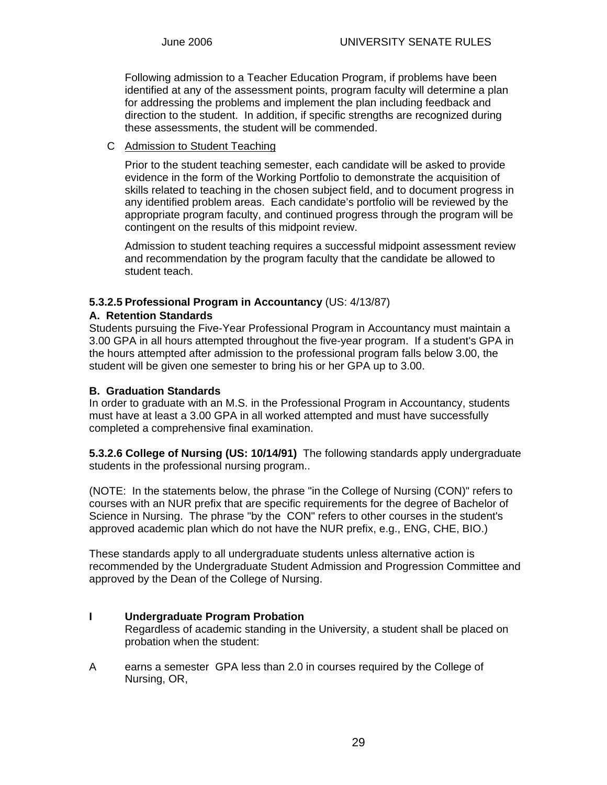Following admission to a Teacher Education Program, if problems have been identified at any of the assessment points, program faculty will determine a plan for addressing the problems and implement the plan including feedback and direction to the student. In addition, if specific strengths are recognized during these assessments, the student will be commended.

#### C Admission to Student Teaching

Prior to the student teaching semester, each candidate will be asked to provide evidence in the form of the Working Portfolio to demonstrate the acquisition of skills related to teaching in the chosen subject field, and to document progress in any identified problem areas. Each candidate's portfolio will be reviewed by the appropriate program faculty, and continued progress through the program will be contingent on the results of this midpoint review.

Admission to student teaching requires a successful midpoint assessment review and recommendation by the program faculty that the candidate be allowed to student teach.

#### **5.3.2.5 Professional Program in Accountancy** (US: 4/13/87)

#### **A. Retention Standards**

Students pursuing the Five-Year Professional Program in Accountancy must maintain a 3.00 GPA in all hours attempted throughout the five-year program. If a student's GPA in the hours attempted after admission to the professional program falls below 3.00, the student will be given one semester to bring his or her GPA up to 3.00.

#### **B. Graduation Standards**

In order to graduate with an M.S. in the Professional Program in Accountancy, students must have at least a 3.00 GPA in all worked attempted and must have successfully completed a comprehensive final examination.

**5.3.2.6 College of Nursing (US: 10/14/91)** The following standards apply undergraduate students in the professional nursing program..

(NOTE: In the statements below, the phrase "in the College of Nursing (CON)" refers to courses with an NUR prefix that are specific requirements for the degree of Bachelor of Science in Nursing. The phrase "by the CON" refers to other courses in the student's approved academic plan which do not have the NUR prefix, e.g., ENG, CHE, BIO.)

These standards apply to all undergraduate students unless alternative action is recommended by the Undergraduate Student Admission and Progression Committee and approved by the Dean of the College of Nursing.

### **I Undergraduate Program Probation**

Regardless of academic standing in the University, a student shall be placed on probation when the student:

A earns a semester GPA less than 2.0 in courses required by the College of Nursing, OR,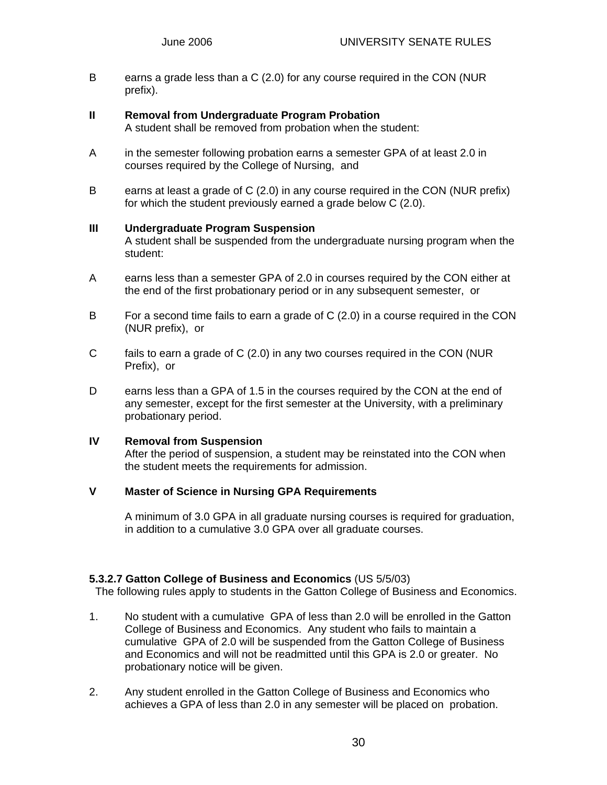B earns a grade less than a C (2.0) for any course required in the CON (NUR prefix).

#### **II Removal from Undergraduate Program Probation**

A student shall be removed from probation when the student:

- A in the semester following probation earns a semester GPA of at least 2.0 in courses required by the College of Nursing, and
- B earns at least a grade of C (2.0) in any course required in the CON (NUR prefix) for which the student previously earned a grade below C (2.0).

#### **III Undergraduate Program Suspension**

A student shall be suspended from the undergraduate nursing program when the student:

- A earns less than a semester GPA of 2.0 in courses required by the CON either at the end of the first probationary period or in any subsequent semester, or
- B For a second time fails to earn a grade of C (2.0) in a course required in the CON (NUR prefix), or
- C fails to earn a grade of C (2.0) in any two courses required in the CON (NUR Prefix), or
- D earns less than a GPA of 1.5 in the courses required by the CON at the end of any semester, except for the first semester at the University, with a preliminary probationary period.

#### **IV Removal from Suspension**

After the period of suspension, a student may be reinstated into the CON when the student meets the requirements for admission.

#### **V Master of Science in Nursing GPA Requirements**

A minimum of 3.0 GPA in all graduate nursing courses is required for graduation, in addition to a cumulative 3.0 GPA over all graduate courses.

#### **5.3.2.7 Gatton College of Business and Economics** (US 5/5/03)

The following rules apply to students in the Gatton College of Business and Economics.

- 1. No student with a cumulative GPA of less than 2.0 will be enrolled in the Gatton College of Business and Economics. Any student who fails to maintain a cumulative GPA of 2.0 will be suspended from the Gatton College of Business and Economics and will not be readmitted until this GPA is 2.0 or greater. No probationary notice will be given.
- 2. Any student enrolled in the Gatton College of Business and Economics who achieves a GPA of less than 2.0 in any semester will be placed on probation.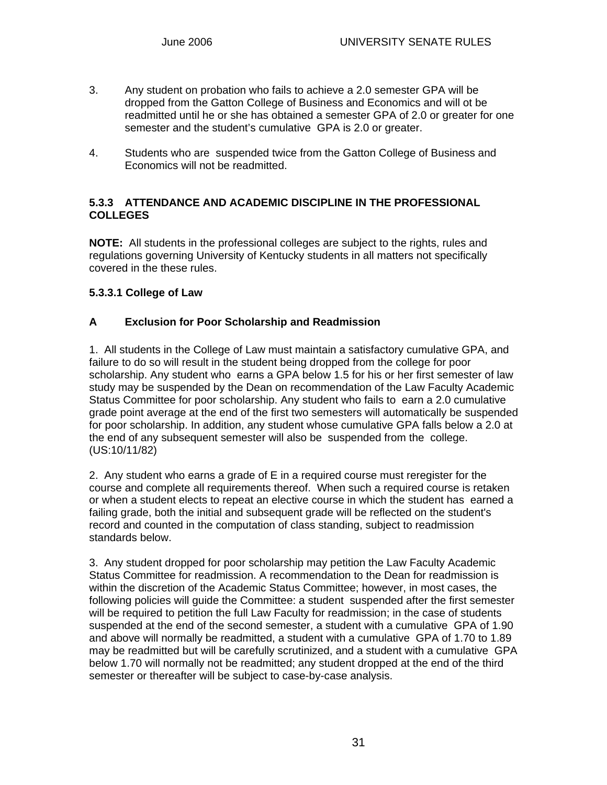- 3. Any student on probation who fails to achieve a 2.0 semester GPA will be dropped from the Gatton College of Business and Economics and will ot be readmitted until he or she has obtained a semester GPA of 2.0 or greater for one semester and the student's cumulative GPA is 2.0 or greater.
- 4. Students who are suspended twice from the Gatton College of Business and Economics will not be readmitted.

#### **5.3.3 ATTENDANCE AND ACADEMIC DISCIPLINE IN THE PROFESSIONAL COLLEGES**

**NOTE:** All students in the professional colleges are subject to the rights, rules and regulations governing University of Kentucky students in all matters not specifically covered in the these rules.

#### **5.3.3.1 College of Law**

#### **A Exclusion for Poor Scholarship and Readmission**

1. All students in the College of Law must maintain a satisfactory cumulative GPA, and failure to do so will result in the student being dropped from the college for poor scholarship. Any student who earns a GPA below 1.5 for his or her first semester of law study may be suspended by the Dean on recommendation of the Law Faculty Academic Status Committee for poor scholarship. Any student who fails to earn a 2.0 cumulative grade point average at the end of the first two semesters will automatically be suspended for poor scholarship. In addition, any student whose cumulative GPA falls below a 2.0 at the end of any subsequent semester will also be suspended from the college. (US:10/11/82)

2. Any student who earns a grade of E in a required course must reregister for the course and complete all requirements thereof. When such a required course is retaken or when a student elects to repeat an elective course in which the student has earned a failing grade, both the initial and subsequent grade will be reflected on the student's record and counted in the computation of class standing, subject to readmission standards below.

3. Any student dropped for poor scholarship may petition the Law Faculty Academic Status Committee for readmission. A recommendation to the Dean for readmission is within the discretion of the Academic Status Committee; however, in most cases, the following policies will guide the Committee: a student suspended after the first semester will be required to petition the full Law Faculty for readmission; in the case of students suspended at the end of the second semester, a student with a cumulative GPA of 1.90 and above will normally be readmitted, a student with a cumulative GPA of 1.70 to 1.89 may be readmitted but will be carefully scrutinized, and a student with a cumulative GPA below 1.70 will normally not be readmitted; any student dropped at the end of the third semester or thereafter will be subject to case-by-case analysis.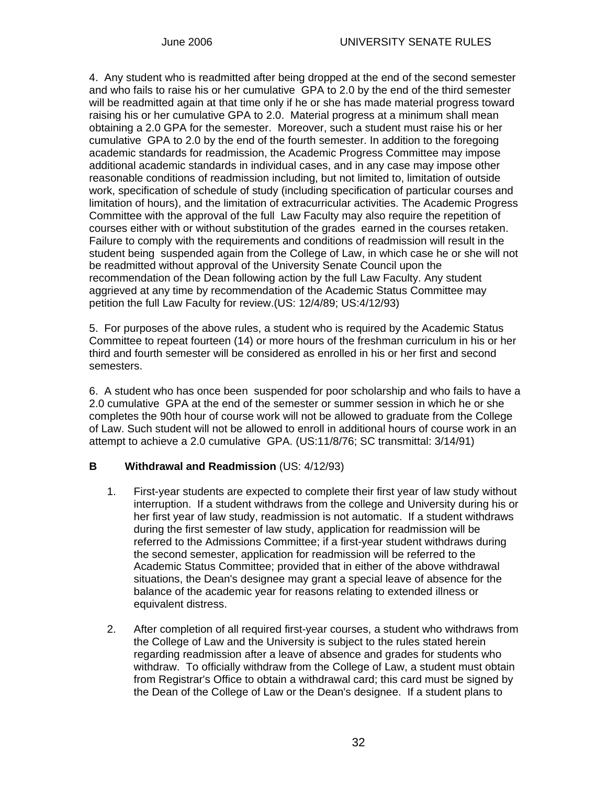4. Any student who is readmitted after being dropped at the end of the second semester and who fails to raise his or her cumulative GPA to 2.0 by the end of the third semester will be readmitted again at that time only if he or she has made material progress toward raising his or her cumulative GPA to 2.0. Material progress at a minimum shall mean obtaining a 2.0 GPA for the semester. Moreover, such a student must raise his or her cumulative GPA to 2.0 by the end of the fourth semester. In addition to the foregoing academic standards for readmission, the Academic Progress Committee may impose additional academic standards in individual cases, and in any case may impose other reasonable conditions of readmission including, but not limited to, limitation of outside work, specification of schedule of study (including specification of particular courses and limitation of hours), and the limitation of extracurricular activities. The Academic Progress Committee with the approval of the full Law Faculty may also require the repetition of courses either with or without substitution of the grades earned in the courses retaken. Failure to comply with the requirements and conditions of readmission will result in the student being suspended again from the College of Law, in which case he or she will not be readmitted without approval of the University Senate Council upon the recommendation of the Dean following action by the full Law Faculty. Any student aggrieved at any time by recommendation of the Academic Status Committee may petition the full Law Faculty for review.(US: 12/4/89; US:4/12/93)

5. For purposes of the above rules, a student who is required by the Academic Status Committee to repeat fourteen (14) or more hours of the freshman curriculum in his or her third and fourth semester will be considered as enrolled in his or her first and second semesters.

6. A student who has once been suspended for poor scholarship and who fails to have a 2.0 cumulative GPA at the end of the semester or summer session in which he or she completes the 90th hour of course work will not be allowed to graduate from the College of Law. Such student will not be allowed to enroll in additional hours of course work in an attempt to achieve a 2.0 cumulative GPA. (US:11/8/76; SC transmittal: 3/14/91)

### **B Withdrawal and Readmission** (US: 4/12/93)

- 1. First-year students are expected to complete their first year of law study without interruption. If a student withdraws from the college and University during his or her first year of law study, readmission is not automatic. If a student withdraws during the first semester of law study, application for readmission will be referred to the Admissions Committee; if a first-year student withdraws during the second semester, application for readmission will be referred to the Academic Status Committee; provided that in either of the above withdrawal situations, the Dean's designee may grant a special leave of absence for the balance of the academic year for reasons relating to extended illness or equivalent distress.
- 2. After completion of all required first-year courses, a student who withdraws from the College of Law and the University is subject to the rules stated herein regarding readmission after a leave of absence and grades for students who withdraw. To officially withdraw from the College of Law, a student must obtain from Registrar's Office to obtain a withdrawal card; this card must be signed by the Dean of the College of Law or the Dean's designee. If a student plans to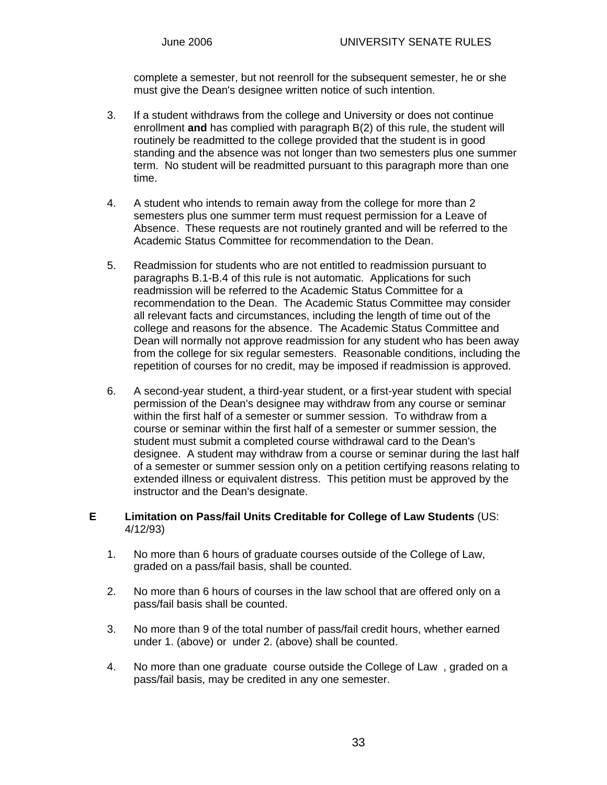complete a semester, but not reenroll for the subsequent semester, he or she must give the Dean's designee written notice of such intention.

- 3. If a student withdraws from the college and University or does not continue enrollment **and** has complied with paragraph B(2) of this rule, the student will routinely be readmitted to the college provided that the student is in good standing and the absence was not longer than two semesters plus one summer term. No student will be readmitted pursuant to this paragraph more than one time.
- 4. A student who intends to remain away from the college for more than 2 semesters plus one summer term must request permission for a Leave of Absence. These requests are not routinely granted and will be referred to the Academic Status Committee for recommendation to the Dean.
- 5. Readmission for students who are not entitled to readmission pursuant to paragraphs B.1-B.4 of this rule is not automatic. Applications for such readmission will be referred to the Academic Status Committee for a recommendation to the Dean. The Academic Status Committee may consider all relevant facts and circumstances, including the length of time out of the college and reasons for the absence. The Academic Status Committee and Dean will normally not approve readmission for any student who has been away from the college for six regular semesters. Reasonable conditions, including the repetition of courses for no credit, may be imposed if readmission is approved.
- 6. A second-year student, a third-year student, or a first-year student with special permission of the Dean's designee may withdraw from any course or seminar within the first half of a semester or summer session. To withdraw from a course or seminar within the first half of a semester or summer session, the student must submit a completed course withdrawal card to the Dean's designee. A student may withdraw from a course or seminar during the last half of a semester or summer session only on a petition certifying reasons relating to extended illness or equivalent distress. This petition must be approved by the instructor and the Dean's designate.

#### **E Limitation on Pass/fail Units Creditable for College of Law Students** (US: 4/12/93)

- 1. No more than 6 hours of graduate courses outside of the College of Law, graded on a pass/fail basis, shall be counted.
- 2. No more than 6 hours of courses in the law school that are offered only on a pass/fail basis shall be counted.
- 3. No more than 9 of the total number of pass/fail credit hours, whether earned under 1. (above) or under 2. (above) shall be counted.
- 4. No more than one graduate course outside the College of Law , graded on a pass/fail basis, may be credited in any one semester.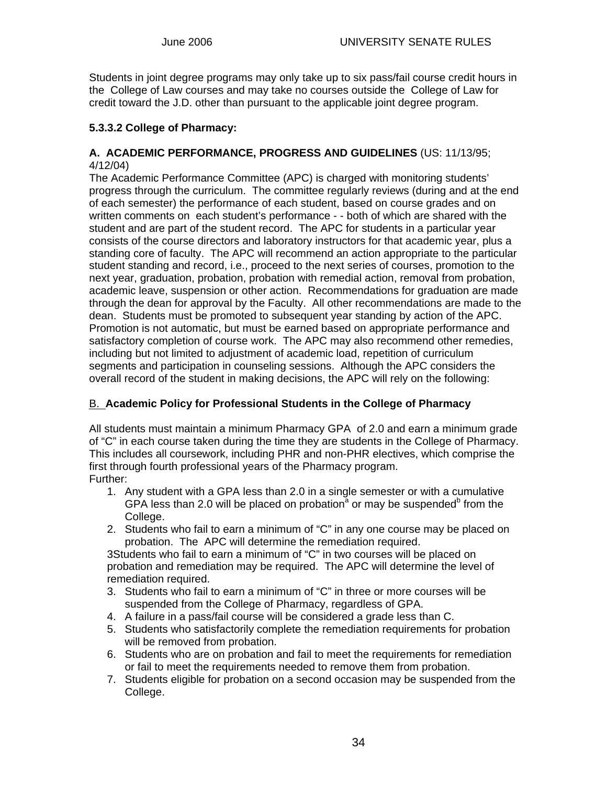Students in joint degree programs may only take up to six pass/fail course credit hours in the College of Law courses and may take no courses outside the College of Law for credit toward the J.D. other than pursuant to the applicable joint degree program.

#### **5.3.3.2 College of Pharmacy:**

#### **A. ACADEMIC PERFORMANCE, PROGRESS AND GUIDELINES** (US: 11/13/95; 4/12/04)

The Academic Performance Committee (APC) is charged with monitoring students' progress through the curriculum. The committee regularly reviews (during and at the end of each semester) the performance of each student, based on course grades and on written comments on each student's performance - - both of which are shared with the student and are part of the student record. The APC for students in a particular year consists of the course directors and laboratory instructors for that academic year, plus a standing core of faculty. The APC will recommend an action appropriate to the particular student standing and record, i.e., proceed to the next series of courses, promotion to the next year, graduation, probation, probation with remedial action, removal from probation, academic leave, suspension or other action. Recommendations for graduation are made through the dean for approval by the Faculty. All other recommendations are made to the dean. Students must be promoted to subsequent year standing by action of the APC. Promotion is not automatic, but must be earned based on appropriate performance and satisfactory completion of course work. The APC may also recommend other remedies, including but not limited to adjustment of academic load, repetition of curriculum segments and participation in counseling sessions. Although the APC considers the overall record of the student in making decisions, the APC will rely on the following:

### B. **Academic Policy for Professional Students in the College of Pharmacy**

All students must maintain a minimum Pharmacy GPA of 2.0 and earn a minimum grade of "C" in each course taken during the time they are students in the College of Pharmacy. This includes all coursework, including PHR and non-PHR electives, which comprise the first through fourth professional years of the Pharmacy program. Further:

- 1. Any student with a GPA less than 2.0 in a single semester or with a cumulative GPA less than 2.0 will be placed on probation<sup>a</sup> or may be suspended<sup>b</sup> from the College.
- 2. Students who fail to earn a minimum of "C" in any one course may be placed on probation. The APC will determine the remediation required.

3Students who fail to earn a minimum of "C" in two courses will be placed on probation and remediation may be required. The APC will determine the level of remediation required.

- 3. Students who fail to earn a minimum of "C" in three or more courses will be suspended from the College of Pharmacy, regardless of GPA.
- 4. A failure in a pass/fail course will be considered a grade less than C.
- 5. Students who satisfactorily complete the remediation requirements for probation will be removed from probation.
- 6. Students who are on probation and fail to meet the requirements for remediation or fail to meet the requirements needed to remove them from probation.
- 7. Students eligible for probation on a second occasion may be suspended from the College.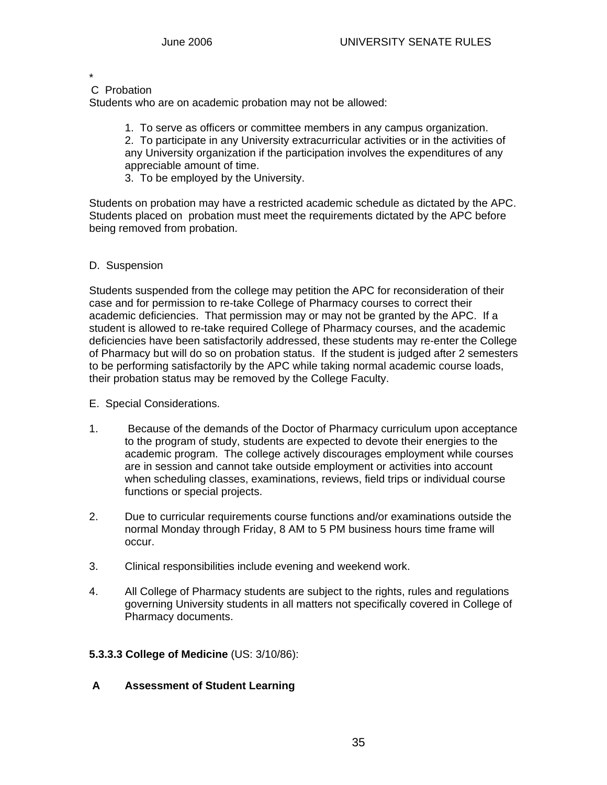#### \* C Probation

Students who are on academic probation may not be allowed:

1. To serve as officers or committee members in any campus organization.

2. To participate in any University extracurricular activities or in the activities of any University organization if the participation involves the expenditures of any appreciable amount of time.

3. To be employed by the University.

Students on probation may have a restricted academic schedule as dictated by the APC. Students placed on probation must meet the requirements dictated by the APC before being removed from probation.

#### D. Suspension

Students suspended from the college may petition the APC for reconsideration of their case and for permission to re-take College of Pharmacy courses to correct their academic deficiencies. That permission may or may not be granted by the APC. If a student is allowed to re-take required College of Pharmacy courses, and the academic deficiencies have been satisfactorily addressed, these students may re-enter the College of Pharmacy but will do so on probation status. If the student is judged after 2 semesters to be performing satisfactorily by the APC while taking normal academic course loads, their probation status may be removed by the College Faculty.

- E. Special Considerations.
- 1. Because of the demands of the Doctor of Pharmacy curriculum upon acceptance to the program of study, students are expected to devote their energies to the academic program. The college actively discourages employment while courses are in session and cannot take outside employment or activities into account when scheduling classes, examinations, reviews, field trips or individual course functions or special projects.
- 2. Due to curricular requirements course functions and/or examinations outside the normal Monday through Friday, 8 AM to 5 PM business hours time frame will occur.
- 3. Clinical responsibilities include evening and weekend work.
- 4. All College of Pharmacy students are subject to the rights, rules and regulations governing University students in all matters not specifically covered in College of Pharmacy documents.

#### **5.3.3.3 College of Medicine** (US: 3/10/86):

 **A Assessment of Student Learning**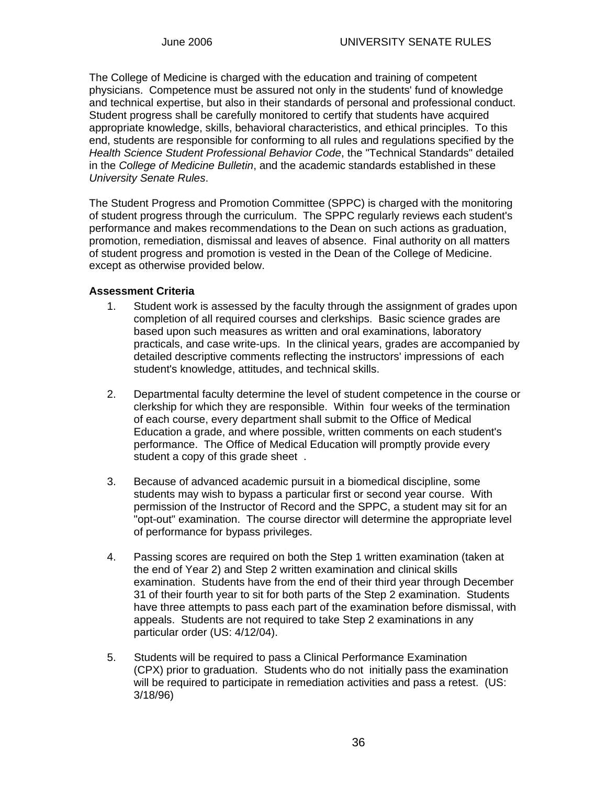The College of Medicine is charged with the education and training of competent physicians. Competence must be assured not only in the students' fund of knowledge and technical expertise, but also in their standards of personal and professional conduct. Student progress shall be carefully monitored to certify that students have acquired appropriate knowledge, skills, behavioral characteristics, and ethical principles. To this end, students are responsible for conforming to all rules and regulations specified by the *Health Science Student Professional Behavior Code*, the "Technical Standards" detailed in the *College of Medicine Bulletin*, and the academic standards established in these *University Senate Rules*.

The Student Progress and Promotion Committee (SPPC) is charged with the monitoring of student progress through the curriculum. The SPPC regularly reviews each student's performance and makes recommendations to the Dean on such actions as graduation, promotion, remediation, dismissal and leaves of absence. Final authority on all matters of student progress and promotion is vested in the Dean of the College of Medicine. except as otherwise provided below.

#### **Assessment Criteria**

- 1. Student work is assessed by the faculty through the assignment of grades upon completion of all required courses and clerkships. Basic science grades are based upon such measures as written and oral examinations, laboratory practicals, and case write-ups. In the clinical years, grades are accompanied by detailed descriptive comments reflecting the instructors' impressions of each student's knowledge, attitudes, and technical skills.
- 2. Departmental faculty determine the level of student competence in the course or clerkship for which they are responsible. Within four weeks of the termination of each course, every department shall submit to the Office of Medical Education a grade, and where possible, written comments on each student's performance. The Office of Medical Education will promptly provide every student a copy of this grade sheet .
- 3. Because of advanced academic pursuit in a biomedical discipline, some students may wish to bypass a particular first or second year course. With permission of the Instructor of Record and the SPPC, a student may sit for an "opt-out" examination. The course director will determine the appropriate level of performance for bypass privileges.
- 4. Passing scores are required on both the Step 1 written examination (taken at the end of Year 2) and Step 2 written examination and clinical skills examination. Students have from the end of their third year through December 31 of their fourth year to sit for both parts of the Step 2 examination. Students have three attempts to pass each part of the examination before dismissal, with appeals. Students are not required to take Step 2 examinations in any particular order (US: 4/12/04).
- 5. Students will be required to pass a Clinical Performance Examination (CPX) prior to graduation. Students who do not initially pass the examination will be required to participate in remediation activities and pass a retest. (US: 3/18/96)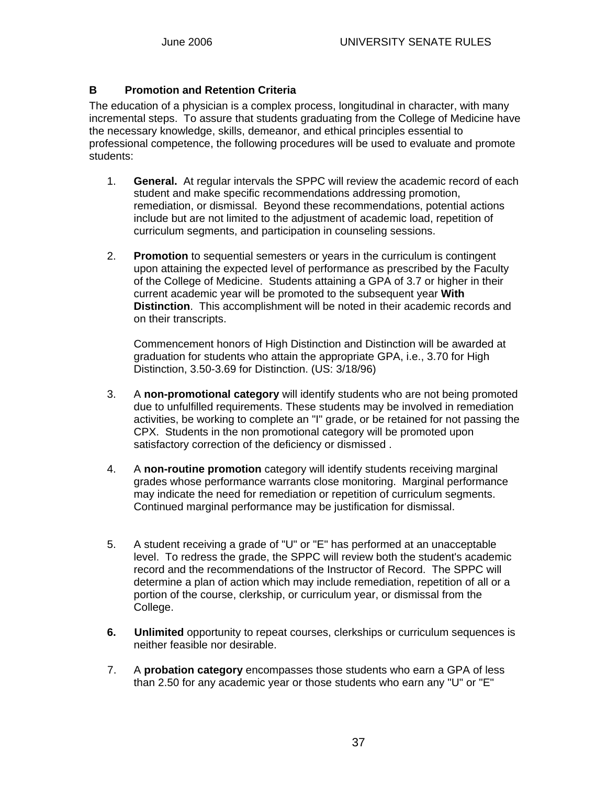### **B Promotion and Retention Criteria**

The education of a physician is a complex process, longitudinal in character, with many incremental steps. To assure that students graduating from the College of Medicine have the necessary knowledge, skills, demeanor, and ethical principles essential to professional competence, the following procedures will be used to evaluate and promote students:

- 1. **General.** At regular intervals the SPPC will review the academic record of each student and make specific recommendations addressing promotion, remediation, or dismissal. Beyond these recommendations, potential actions include but are not limited to the adjustment of academic load, repetition of curriculum segments, and participation in counseling sessions.
- 2. **Promotion** to sequential semesters or years in the curriculum is contingent upon attaining the expected level of performance as prescribed by the Faculty of the College of Medicine. Students attaining a GPA of 3.7 or higher in their current academic year will be promoted to the subsequent year **With Distinction**. This accomplishment will be noted in their academic records and on their transcripts.

 Commencement honors of High Distinction and Distinction will be awarded at graduation for students who attain the appropriate GPA, i.e., 3.70 for High Distinction, 3.50-3.69 for Distinction. (US: 3/18/96)

- 3. A **non-promotional category** will identify students who are not being promoted due to unfulfilled requirements. These students may be involved in remediation activities, be working to complete an "I" grade, or be retained for not passing the CPX. Students in the non promotional category will be promoted upon satisfactory correction of the deficiency or dismissed .
- 4. A **non-routine promotion** category will identify students receiving marginal grades whose performance warrants close monitoring. Marginal performance may indicate the need for remediation or repetition of curriculum segments. Continued marginal performance may be justification for dismissal.
- 5. A student receiving a grade of "U" or "E" has performed at an unacceptable level. To redress the grade, the SPPC will review both the student's academic record and the recommendations of the Instructor of Record. The SPPC will determine a plan of action which may include remediation, repetition of all or a portion of the course, clerkship, or curriculum year, or dismissal from the College.
- **6. Unlimited** opportunity to repeat courses, clerkships or curriculum sequences is neither feasible nor desirable.
- 7. A **probation category** encompasses those students who earn a GPA of less than 2.50 for any academic year or those students who earn any "U" or "E"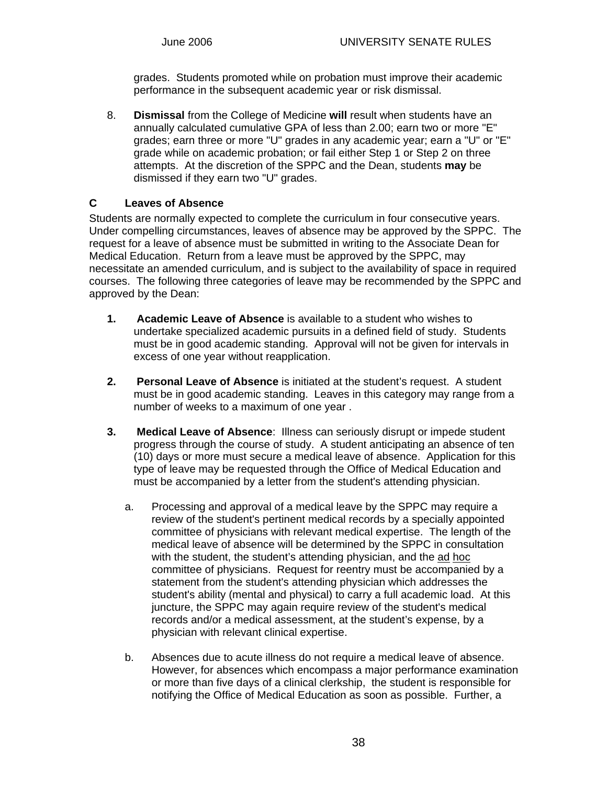grades. Students promoted while on probation must improve their academic performance in the subsequent academic year or risk dismissal.

 8. **Dismissal** from the College of Medicine **will** result when students have an annually calculated cumulative GPA of less than 2.00; earn two or more "E" grades; earn three or more "U" grades in any academic year; earn a "U" or "E" grade while on academic probation; or fail either Step 1 or Step 2 on three attempts. At the discretion of the SPPC and the Dean, students **may** be dismissed if they earn two "U" grades.

### **C Leaves of Absence**

Students are normally expected to complete the curriculum in four consecutive years. Under compelling circumstances, leaves of absence may be approved by the SPPC. The request for a leave of absence must be submitted in writing to the Associate Dean for Medical Education. Return from a leave must be approved by the SPPC, may necessitate an amended curriculum, and is subject to the availability of space in required courses. The following three categories of leave may be recommended by the SPPC and approved by the Dean:

- **1. Academic Leave of Absence** is available to a student who wishes to undertake specialized academic pursuits in a defined field of study. Students must be in good academic standing. Approval will not be given for intervals in excess of one year without reapplication.
- **2. Personal Leave of Absence** is initiated at the student's request. A student must be in good academic standing. Leaves in this category may range from a number of weeks to a maximum of one year .
- **3. Medical Leave of Absence**: Illness can seriously disrupt or impede student progress through the course of study. A student anticipating an absence of ten (10) days or more must secure a medical leave of absence. Application for this type of leave may be requested through the Office of Medical Education and must be accompanied by a letter from the student's attending physician.
	- a. Processing and approval of a medical leave by the SPPC may require a review of the student's pertinent medical records by a specially appointed committee of physicians with relevant medical expertise. The length of the medical leave of absence will be determined by the SPPC in consultation with the student, the student's attending physician, and the ad hoc committee of physicians. Request for reentry must be accompanied by a statement from the student's attending physician which addresses the student's ability (mental and physical) to carry a full academic load. At this juncture, the SPPC may again require review of the student's medical records and/or a medical assessment, at the student's expense, by a physician with relevant clinical expertise.
	- b. Absences due to acute illness do not require a medical leave of absence. However, for absences which encompass a major performance examination or more than five days of a clinical clerkship, the student is responsible for notifying the Office of Medical Education as soon as possible. Further, a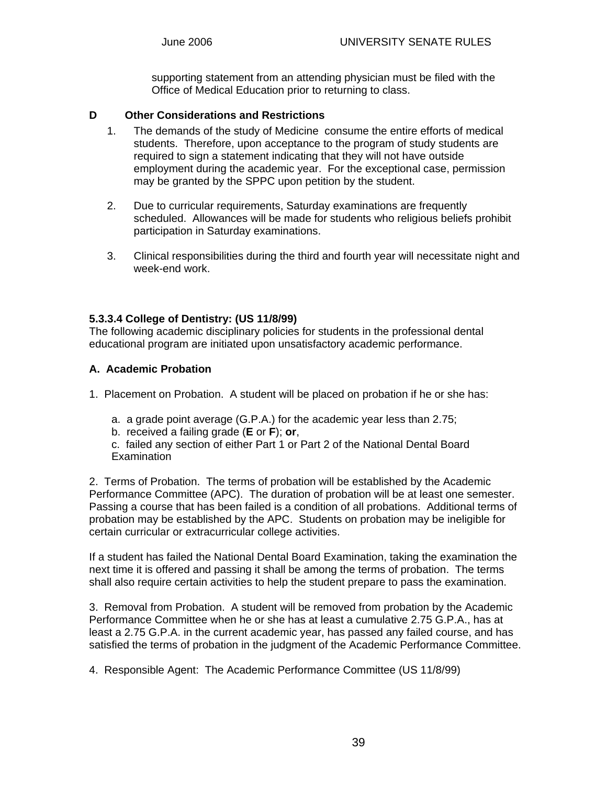supporting statement from an attending physician must be filed with the Office of Medical Education prior to returning to class.

#### **D Other Considerations and Restrictions**

- 1. The demands of the study of Medicine consume the entire efforts of medical students. Therefore, upon acceptance to the program of study students are required to sign a statement indicating that they will not have outside employment during the academic year. For the exceptional case, permission may be granted by the SPPC upon petition by the student.
- 2. Due to curricular requirements, Saturday examinations are frequently scheduled. Allowances will be made for students who religious beliefs prohibit participation in Saturday examinations.
- 3. Clinical responsibilities during the third and fourth year will necessitate night and week-end work.

#### **5.3.3.4 College of Dentistry: (US 11/8/99)**

The following academic disciplinary policies for students in the professional dental educational program are initiated upon unsatisfactory academic performance.

#### **A. Academic Probation**

1. Placement on Probation. A student will be placed on probation if he or she has:

- a. a grade point average (G.P.A.) for the academic year less than 2.75;
- b. received a failing grade (**E** or **F**); **or**,

c. failed any section of either Part 1 or Part 2 of the National Dental Board **Examination** 

2.Terms of Probation. The terms of probation will be established by the Academic Performance Committee (APC). The duration of probation will be at least one semester. Passing a course that has been failed is a condition of all probations. Additional terms of probation may be established by the APC. Students on probation may be ineligible for certain curricular or extracurricular college activities.

If a student has failed the National Dental Board Examination, taking the examination the next time it is offered and passing it shall be among the terms of probation. The terms shall also require certain activities to help the student prepare to pass the examination.

3. Removal from Probation. A student will be removed from probation by the Academic Performance Committee when he or she has at least a cumulative 2.75 G.P.A., has at least a 2.75 G.P.A. in the current academic year, has passed any failed course, and has satisfied the terms of probation in the judgment of the Academic Performance Committee.

4. Responsible Agent: The Academic Performance Committee (US 11/8/99)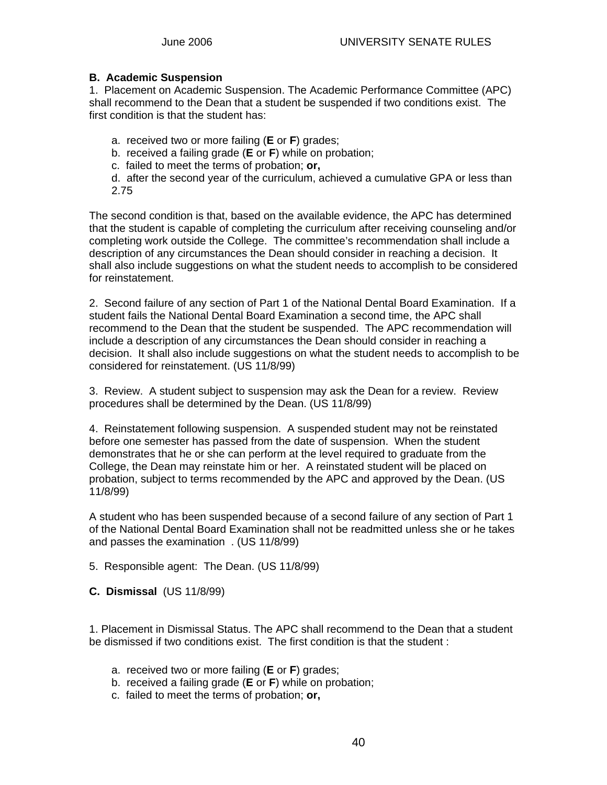#### **B. Academic Suspension**

1. Placement on Academic Suspension. The Academic Performance Committee (APC) shall recommend to the Dean that a student be suspended if two conditions exist. The first condition is that the student has:

a. received two or more failing (**E** or **F**) grades;

b. received a failing grade (**E** or **F**) while on probation;

c. failed to meet the terms of probation; **or,**

d. after the second year of the curriculum, achieved a cumulative GPA or less than 2.75

The second condition is that, based on the available evidence, the APC has determined that the student is capable of completing the curriculum after receiving counseling and/or completing work outside the College. The committee's recommendation shall include a description of any circumstances the Dean should consider in reaching a decision. It shall also include suggestions on what the student needs to accomplish to be considered for reinstatement.

2. Second failure of any section of Part 1 of the National Dental Board Examination. If a student fails the National Dental Board Examination a second time, the APC shall recommend to the Dean that the student be suspended. The APC recommendation will include a description of any circumstances the Dean should consider in reaching a decision. It shall also include suggestions on what the student needs to accomplish to be considered for reinstatement. (US 11/8/99)

3. Review. A student subject to suspension may ask the Dean for a review. Review procedures shall be determined by the Dean. (US 11/8/99)

4. Reinstatement following suspension. A suspended student may not be reinstated before one semester has passed from the date of suspension. When the student demonstrates that he or she can perform at the level required to graduate from the College, the Dean may reinstate him or her. A reinstated student will be placed on probation, subject to terms recommended by the APC and approved by the Dean. (US 11/8/99)

A student who has been suspended because of a second failure of any section of Part 1 of the National Dental Board Examination shall not be readmitted unless she or he takes and passes the examination . (US 11/8/99)

5. Responsible agent: The Dean. (US 11/8/99)

**C. Dismissal** (US 11/8/99)

1. Placement in Dismissal Status. The APC shall recommend to the Dean that a student be dismissed if two conditions exist. The first condition is that the student :

- a. received two or more failing (**E** or **F**) grades;
- b. received a failing grade (**E** or **F**) while on probation;
- c. failed to meet the terms of probation; **or,**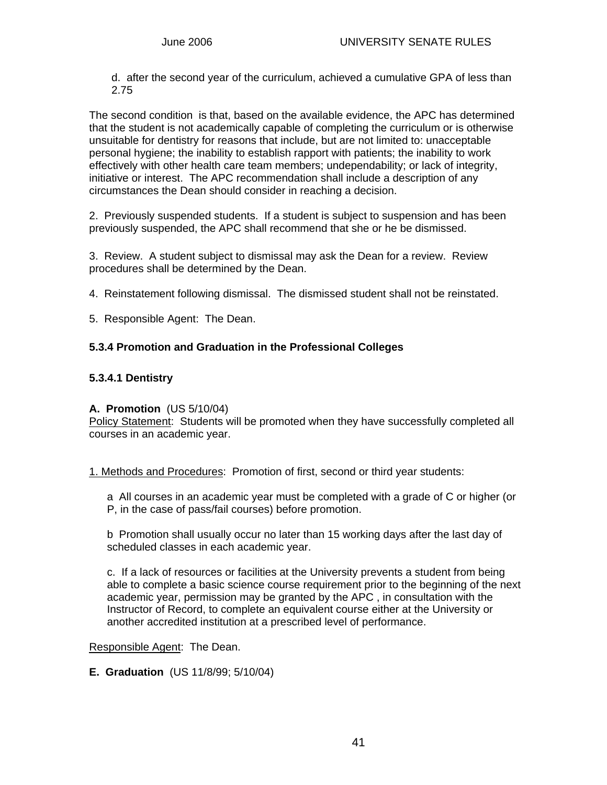d. after the second year of the curriculum, achieved a cumulative GPA of less than 2.75

The second condition is that, based on the available evidence, the APC has determined that the student is not academically capable of completing the curriculum or is otherwise unsuitable for dentistry for reasons that include, but are not limited to: unacceptable personal hygiene; the inability to establish rapport with patients; the inability to work effectively with other health care team members; undependability; or lack of integrity, initiative or interest. The APC recommendation shall include a description of any circumstances the Dean should consider in reaching a decision.

2. Previously suspended students. If a student is subject to suspension and has been previously suspended, the APC shall recommend that she or he be dismissed.

3. Review. A student subject to dismissal may ask the Dean for a review. Review procedures shall be determined by the Dean.

4. Reinstatement following dismissal. The dismissed student shall not be reinstated.

5. Responsible Agent: The Dean.

#### **5.3.4 Promotion and Graduation in the Professional Colleges**

#### **5.3.4.1 Dentistry**

#### **A. Promotion** (US 5/10/04)

Policy Statement: Students will be promoted when they have successfully completed all courses in an academic year.

1. Methods and Procedures: Promotion of first, second or third year students:

a All courses in an academic year must be completed with a grade of C or higher (or P, in the case of pass/fail courses) before promotion.

b Promotion shall usually occur no later than 15 working days after the last day of scheduled classes in each academic year.

c. If a lack of resources or facilities at the University prevents a student from being able to complete a basic science course requirement prior to the beginning of the next academic year, permission may be granted by the APC , in consultation with the Instructor of Record, to complete an equivalent course either at the University or another accredited institution at a prescribed level of performance.

Responsible Agent: The Dean.

**E. Graduation** (US 11/8/99; 5/10/04)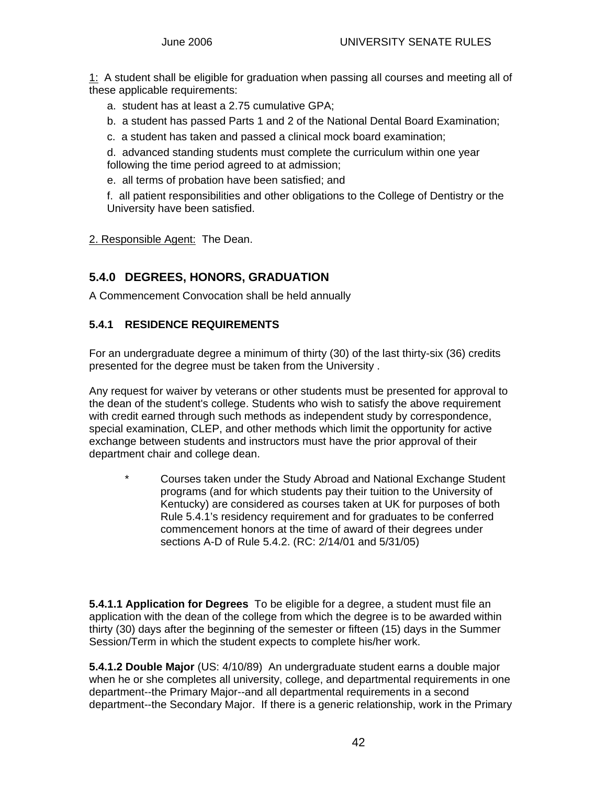1: A student shall be eligible for graduation when passing all courses and meeting all of these applicable requirements:

- a. student has at least a 2.75 cumulative GPA;
- b. a student has passed Parts 1 and 2 of the National Dental Board Examination;
- c. a student has taken and passed a clinical mock board examination;

d. advanced standing students must complete the curriculum within one year following the time period agreed to at admission;

e. all terms of probation have been satisfied; and

f. all patient responsibilities and other obligations to the College of Dentistry or the University have been satisfied.

2. Responsible Agent: The Dean.

# **5.4.0 DEGREES, HONORS, GRADUATION**

A Commencement Convocation shall be held annually

### **5.4.1 RESIDENCE REQUIREMENTS**

For an undergraduate degree a minimum of thirty (30) of the last thirty-six (36) credits presented for the degree must be taken from the University .

Any request for waiver by veterans or other students must be presented for approval to the dean of the student's college. Students who wish to satisfy the above requirement with credit earned through such methods as independent study by correspondence, special examination, CLEP, and other methods which limit the opportunity for active exchange between students and instructors must have the prior approval of their department chair and college dean.

\* Courses taken under the Study Abroad and National Exchange Student programs (and for which students pay their tuition to the University of Kentucky) are considered as courses taken at UK for purposes of both Rule 5.4.1's residency requirement and for graduates to be conferred commencement honors at the time of award of their degrees under sections A-D of Rule 5.4.2. (RC: 2/14/01 and 5/31/05)

**5.4.1.1 Application for Degrees** To be eligible for a degree, a student must file an application with the dean of the college from which the degree is to be awarded within thirty (30) days after the beginning of the semester or fifteen (15) days in the Summer Session/Term in which the student expects to complete his/her work.

**5.4.1.2 Double Major** (US: 4/10/89) An undergraduate student earns a double major when he or she completes all university, college, and departmental requirements in one department--the Primary Major--and all departmental requirements in a second department--the Secondary Major. If there is a generic relationship, work in the Primary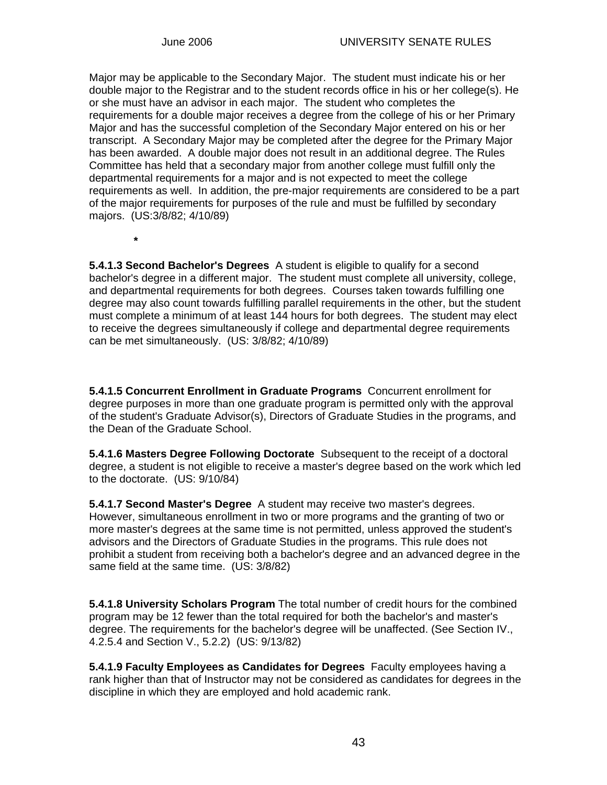**\***

Major may be applicable to the Secondary Major. The student must indicate his or her double major to the Registrar and to the student records office in his or her college(s). He or she must have an advisor in each major. The student who completes the requirements for a double major receives a degree from the college of his or her Primary Major and has the successful completion of the Secondary Major entered on his or her transcript. A Secondary Major may be completed after the degree for the Primary Major has been awarded. A double major does not result in an additional degree. The Rules Committee has held that a secondary major from another college must fulfill only the departmental requirements for a major and is not expected to meet the college requirements as well. In addition, the pre-major requirements are considered to be a part of the major requirements for purposes of the rule and must be fulfilled by secondary majors. (US:3/8/82; 4/10/89)

**5.4.1.3 Second Bachelor's Degrees** A student is eligible to qualify for a second bachelor's degree in a different major. The student must complete all university, college, and departmental requirements for both degrees. Courses taken towards fulfilling one degree may also count towards fulfilling parallel requirements in the other, but the student must complete a minimum of at least 144 hours for both degrees. The student may elect to receive the degrees simultaneously if college and departmental degree requirements can be met simultaneously. (US: 3/8/82; 4/10/89)

**5.4.1.5 Concurrent Enrollment in Graduate Programs** Concurrent enrollment for degree purposes in more than one graduate program is permitted only with the approval of the student's Graduate Advisor(s), Directors of Graduate Studies in the programs, and the Dean of the Graduate School.

**5.4.1.6 Masters Degree Following Doctorate** Subsequent to the receipt of a doctoral degree, a student is not eligible to receive a master's degree based on the work which led to the doctorate. (US: 9/10/84)

**5.4.1.7 Second Master's Degree** A student may receive two master's degrees. However, simultaneous enrollment in two or more programs and the granting of two or more master's degrees at the same time is not permitted, unless approved the student's advisors and the Directors of Graduate Studies in the programs. This rule does not prohibit a student from receiving both a bachelor's degree and an advanced degree in the same field at the same time. (US: 3/8/82)

**5.4.1.8 University Scholars Program** The total number of credit hours for the combined program may be 12 fewer than the total required for both the bachelor's and master's degree. The requirements for the bachelor's degree will be unaffected. (See Section IV., 4.2.5.4 and Section V., 5.2.2) (US: 9/13/82)

**5.4.1.9 Faculty Employees as Candidates for Degrees** Faculty employees having a rank higher than that of Instructor may not be considered as candidates for degrees in the discipline in which they are employed and hold academic rank.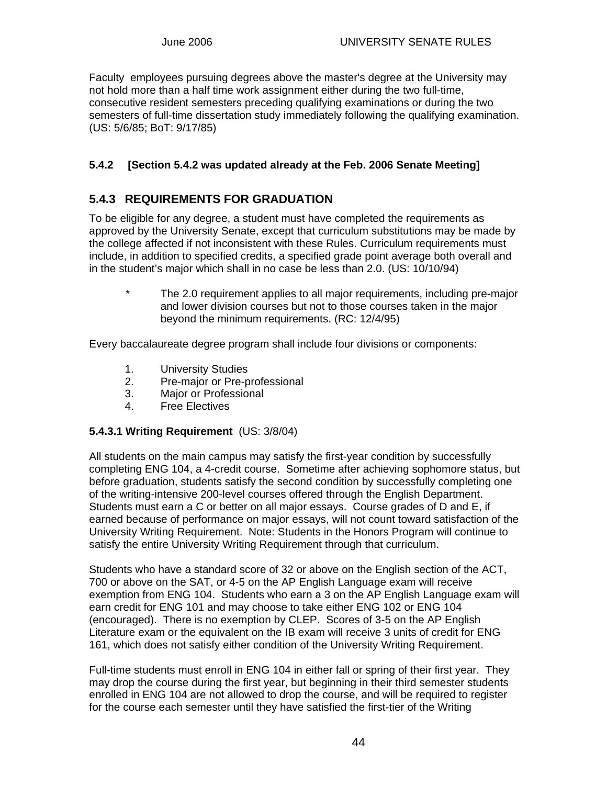Faculty employees pursuing degrees above the master's degree at the University may not hold more than a half time work assignment either during the two full-time, consecutive resident semesters preceding qualifying examinations or during the two semesters of full-time dissertation study immediately following the qualifying examination. (US: 5/6/85; BoT: 9/17/85)

### **5.4.2 [Section 5.4.2 was updated already at the Feb. 2006 Senate Meeting]**

## **5.4.3 REQUIREMENTS FOR GRADUATION**

To be eligible for any degree, a student must have completed the requirements as approved by the University Senate, except that curriculum substitutions may be made by the college affected if not inconsistent with these Rules. Curriculum requirements must include, in addition to specified credits, a specified grade point average both overall and in the student's major which shall in no case be less than 2.0. (US: 10/10/94)

 \* The 2.0 requirement applies to all major requirements, including pre-major and lower division courses but not to those courses taken in the major beyond the minimum requirements. (RC: 12/4/95)

Every baccalaureate degree program shall include four divisions or components:

- 1. University Studies
- 2. Pre-major or Pre-professional
- 3. Major or Professional
- 4. Free Electives

### **5.4.3.1 Writing Requirement** (US: 3/8/04)

All students on the main campus may satisfy the first-year condition by successfully completing ENG 104, a 4-credit course. Sometime after achieving sophomore status, but before graduation, students satisfy the second condition by successfully completing one of the writing-intensive 200-level courses offered through the English Department. Students must earn a C or better on all major essays. Course grades of D and E, if earned because of performance on major essays, will not count toward satisfaction of the University Writing Requirement. Note: Students in the Honors Program will continue to satisfy the entire University Writing Requirement through that curriculum.

Students who have a standard score of 32 or above on the English section of the ACT, 700 or above on the SAT, or 4-5 on the AP English Language exam will receive exemption from ENG 104. Students who earn a 3 on the AP English Language exam will earn credit for ENG 101 and may choose to take either ENG 102 or ENG 104 (encouraged). There is no exemption by CLEP. Scores of 3-5 on the AP English Literature exam or the equivalent on the IB exam will receive 3 units of credit for ENG 161, which does not satisfy either condition of the University Writing Requirement.

Full-time students must enroll in ENG 104 in either fall or spring of their first year. They may drop the course during the first year, but beginning in their third semester students enrolled in ENG 104 are not allowed to drop the course, and will be required to register for the course each semester until they have satisfied the first-tier of the Writing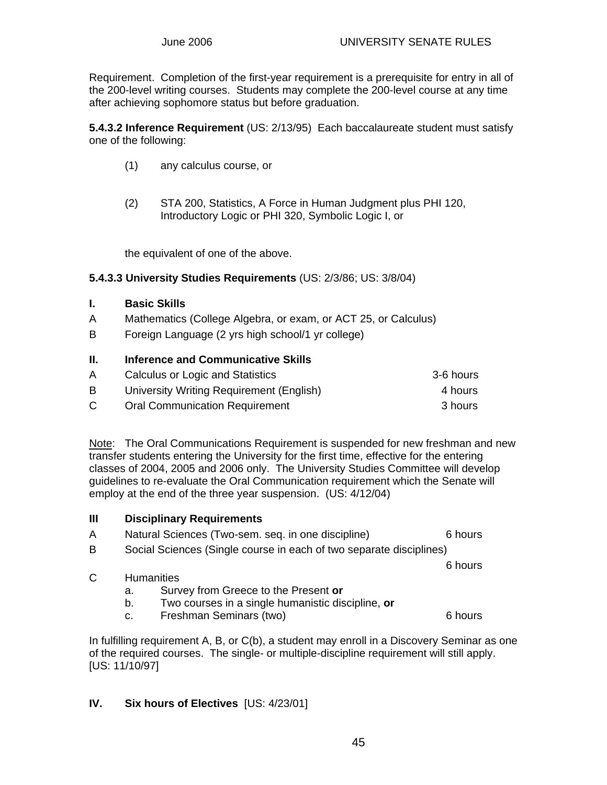Requirement. Completion of the first-year requirement is a prerequisite for entry in all of the 200-level writing courses. Students may complete the 200-level course at any time after achieving sophomore status but before graduation.

**5.4.3.2 Inference Requirement** (US: 2/13/95) Each baccalaureate student must satisfy one of the following:

- (1) any calculus course, or
- (2) STA 200, Statistics, A Force in Human Judgment plus PHI 120, Introductory Logic or PHI 320, Symbolic Logic I, or

the equivalent of one of the above.

#### **5.4.3.3 University Studies Requirements** (US: 2/3/86; US: 3/8/04)

#### **I. Basic Skills**

- A Mathematics (College Algebra, or exam, or ACT 25, or Calculus)
- B Foreign Language (2 yrs high school/1 yr college)

#### **II. Inference and Communicative Skills**

| A  | Calculus or Logic and Statistics         | 3-6 hours |
|----|------------------------------------------|-----------|
| B  | University Writing Requirement (English) | 4 hours   |
| C. | <b>Oral Communication Requirement</b>    | 3 hours   |

Note: The Oral Communications Requirement is suspended for new freshman and new transfer students entering the University for the first time, effective for the entering classes of 2004, 2005 and 2006 only. The University Studies Committee will develop guidelines to re-evaluate the Oral Communication requirement which the Senate will employ at the end of the three year suspension. (US: 4/12/04)

| $\mathbf{III}$ |                                                                     | <b>Disciplinary Requirements</b>                                                           |         |  |  |  |  |
|----------------|---------------------------------------------------------------------|--------------------------------------------------------------------------------------------|---------|--|--|--|--|
| A              |                                                                     | Natural Sciences (Two-sem. seq. in one discipline)<br>6 hours                              |         |  |  |  |  |
| B              | Social Sciences (Single course in each of two separate disciplines) |                                                                                            |         |  |  |  |  |
|                |                                                                     |                                                                                            | 6 hours |  |  |  |  |
| C              | <b>Humanities</b>                                                   |                                                                                            |         |  |  |  |  |
|                | а.                                                                  | Survey from Greece to the Present or                                                       |         |  |  |  |  |
|                | b.                                                                  | Two courses in a single humanistic discipline, or                                          |         |  |  |  |  |
|                | c.                                                                  | Freshman Seminars (two)                                                                    | 6 hours |  |  |  |  |
|                |                                                                     | Le Cultillin a nominano de A. D. an O(k), a atualant mauricipalitic a Diagoriani Caminanaa |         |  |  |  |  |

In fulfilling requirement A, B, or C(b), a student may enroll in a Discovery Seminar as one of the required courses. The single- or multiple-discipline requirement will still apply. [US: 11/10/97]

#### **IV. Six hours of Electives** [US: 4/23/01]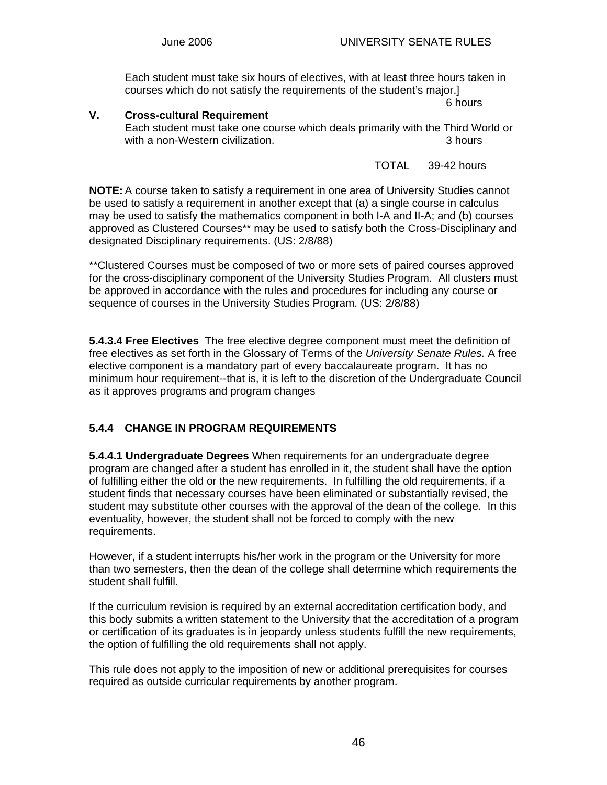Each student must take six hours of electives, with at least three hours taken in courses which do not satisfy the requirements of the student's major.]

6 hours

### **V. Cross-cultural Requirement**  Each student must take one course which deals primarily with the Third World or with a non-Western civilization.  $\blacksquare$  3 hours 3 hours

TOTAL 39-42 hours

**NOTE:** A course taken to satisfy a requirement in one area of University Studies cannot be used to satisfy a requirement in another except that (a) a single course in calculus may be used to satisfy the mathematics component in both I-A and II-A; and (b) courses approved as Clustered Courses\*\* may be used to satisfy both the Cross-Disciplinary and designated Disciplinary requirements. (US: 2/8/88)

\*\*Clustered Courses must be composed of two or more sets of paired courses approved for the cross-disciplinary component of the University Studies Program. All clusters must be approved in accordance with the rules and procedures for including any course or sequence of courses in the University Studies Program. (US: 2/8/88)

**5.4.3.4 Free Electives** The free elective degree component must meet the definition of free electives as set forth in the Glossary of Terms of the *University Senate Rules.* A free elective component is a mandatory part of every baccalaureate program. It has no minimum hour requirement--that is, it is left to the discretion of the Undergraduate Council as it approves programs and program changes

### **5.4.4 CHANGE IN PROGRAM REQUIREMENTS**

**5.4.4.1 Undergraduate Degrees** When requirements for an undergraduate degree program are changed after a student has enrolled in it, the student shall have the option of fulfilling either the old or the new requirements. In fulfilling the old requirements, if a student finds that necessary courses have been eliminated or substantially revised, the student may substitute other courses with the approval of the dean of the college. In this eventuality, however, the student shall not be forced to comply with the new requirements.

However, if a student interrupts his/her work in the program or the University for more than two semesters, then the dean of the college shall determine which requirements the student shall fulfill.

If the curriculum revision is required by an external accreditation certification body, and this body submits a written statement to the University that the accreditation of a program or certification of its graduates is in jeopardy unless students fulfill the new requirements, the option of fulfilling the old requirements shall not apply.

This rule does not apply to the imposition of new or additional prerequisites for courses required as outside curricular requirements by another program.